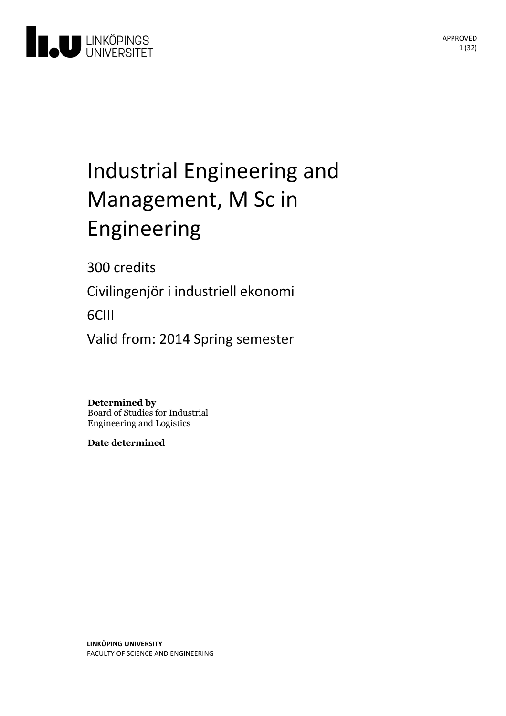

# Industrial Engineering and Management, M Sc in Engineering

300 credits

Civilingenjör i industriell ekonomi

6CIII

Valid from: 2014 Spring semester

**Determined by** Board of Studies for Industrial Engineering and Logistics

**Date determined**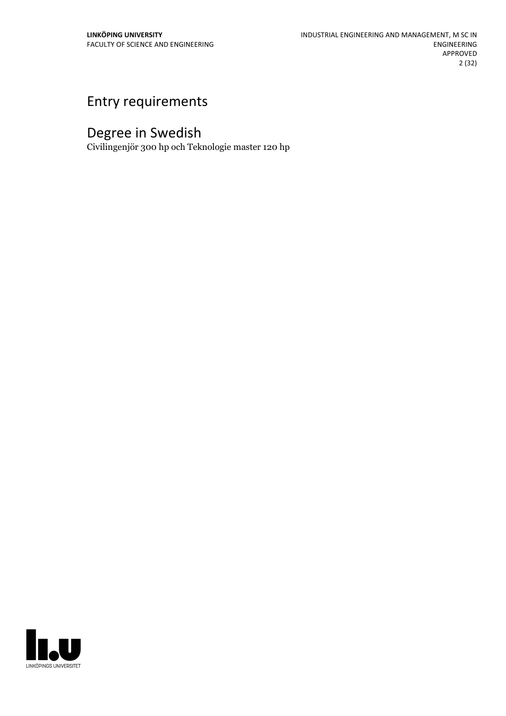# Entry requirements

# Degree in Swedish

Civilingenjör 300 hp och Teknologie master 120 hp

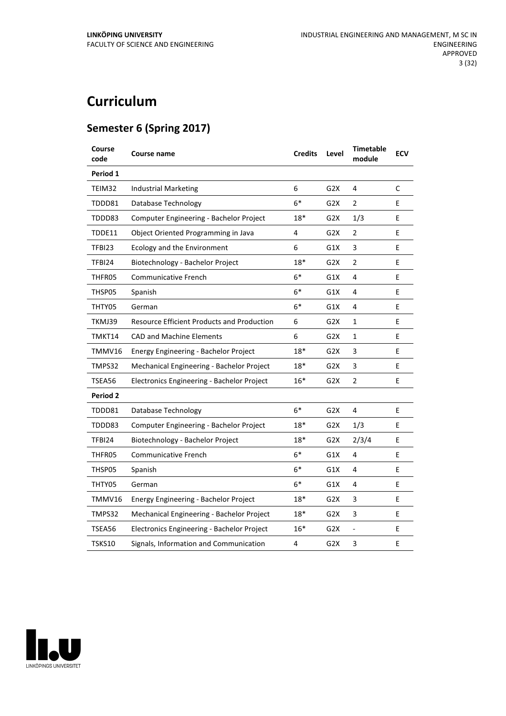# **Curriculum**

# **Semester 6 (Spring 2017)**

| Course<br>code  | Course name                                       | <b>Credits</b> | Level            | <b>Timetable</b><br>module | <b>ECV</b> |
|-----------------|---------------------------------------------------|----------------|------------------|----------------------------|------------|
| Period 1        |                                                   |                |                  |                            |            |
| TEIM32          | <b>Industrial Marketing</b>                       | 6              | G2X              | 4                          | C          |
| TDDD81          | Database Technology                               | $6*$           | G <sub>2</sub> X | 2                          | E          |
| TDDD83          | Computer Engineering - Bachelor Project           | 18*            | G <sub>2</sub> X | 1/3                        | E          |
| TDDE11          | Object Oriented Programming in Java               | 4              | G2X              | 2                          | E          |
| TFBI23          | Ecology and the Environment                       | 6              | G1X              | 3                          | E          |
| TFBI24          | Biotechnology - Bachelor Project                  | $18*$          | G2X              | 2                          | E          |
| THFR05          | <b>Communicative French</b>                       | $6*$           | G1X              | 4                          | E          |
| THSP05          | Spanish                                           | $6*$           | G1X              | 4                          | E          |
| THTY05          | German                                            | $6*$           | G1X              | 4                          | E          |
| TKMJ39          | <b>Resource Efficient Products and Production</b> | 6              | G <sub>2</sub> X | $\mathbf{1}$               | E          |
| TMKT14          | <b>CAD and Machine Elements</b>                   | 6              | G <sub>2</sub> X | 1                          | E          |
| TMMV16          | Energy Engineering - Bachelor Project             | $18*$          | G2X              | 3                          | E          |
| TMPS32          | Mechanical Engineering - Bachelor Project         | 18*            | G <sub>2</sub> X | 3                          | E          |
| TSEA56          | Electronics Engineering - Bachelor Project        | $16*$          | G <sub>2</sub> X | $\overline{2}$             | E          |
| <b>Period 2</b> |                                                   |                |                  |                            |            |
| TDDD81          | Database Technology                               | $6*$           | G2X              | 4                          | E          |
| TDDD83          | Computer Engineering - Bachelor Project           | 18*            | G <sub>2</sub> X | 1/3                        | E          |
| TFBI24          | Biotechnology - Bachelor Project                  | 18*            | G2X              | 2/3/4                      | Е          |
| THFR05          | Communicative French                              | $6*$           | G1X              | 4                          | E          |
| THSP05          | Spanish                                           | $6*$           | G1X              | 4                          | E          |
| THTY05          | German                                            | 6*             | G1X              | 4                          | E          |
| TMMV16          | Energy Engineering - Bachelor Project             | 18*            | G2X              | 3                          | Е          |
| TMPS32          | Mechanical Engineering - Bachelor Project         | $18*$          | G <sub>2</sub> X | 3                          | E          |
| TSEA56          | Electronics Engineering - Bachelor Project        | $16*$          | G <sub>2</sub> X |                            | E          |
| TSKS10          | Signals, Information and Communication            | 4              | G2X              | 3                          | E          |

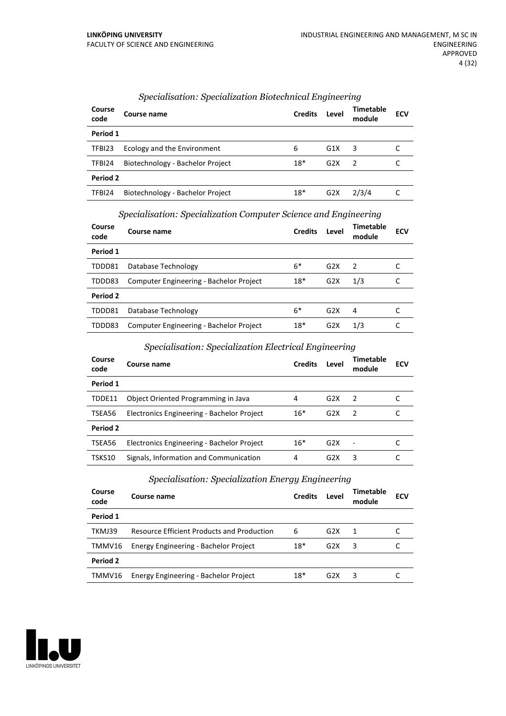| Course<br>code  | Course name                      | <b>Credits</b> | Level            | <b>Timetable</b><br>module | <b>ECV</b> |
|-----------------|----------------------------------|----------------|------------------|----------------------------|------------|
| Period 1        |                                  |                |                  |                            |            |
| TFBI23          | Ecology and the Environment      | 6              | G1X              | 3                          |            |
| TFBI24          | Biotechnology - Bachelor Project | $18*$          | G <sub>2</sub> X | $\mathcal{L}$              |            |
| <b>Period 2</b> |                                  |                |                  |                            |            |
| TFBI24          | Biotechnology - Bachelor Project | $18*$          | G <sub>2</sub> X | 2/3/4                      |            |

# *Specialisation: Specialization Biotechnical Engineering*

|  | Specialisation: Specialization Computer Science and Engineering |  |
|--|-----------------------------------------------------------------|--|
|  |                                                                 |  |

| Course<br>code | Course name                             | <b>Credits</b> | Level            | <b>Timetable</b><br>module | <b>ECV</b> |
|----------------|-----------------------------------------|----------------|------------------|----------------------------|------------|
| Period 1       |                                         |                |                  |                            |            |
| TDDD81         | Database Technology                     | $6*$           | G2X              | $\mathcal{P}$              |            |
| TDDD83         | Computer Engineering - Bachelor Project | $18*$          | G2X              | 1/3                        |            |
| Period 2       |                                         |                |                  |                            |            |
| TDDD81         | Database Technology                     | $6*$           | G2X              | 4                          |            |
| TDDD83         | Computer Engineering - Bachelor Project | $18*$          | G <sub>2</sub> X | 1/3                        |            |

# *Specialisation: Specialization Electrical Engineering*

| Course<br>code | Course name                                | <b>Credits</b> | Level            | Timetable<br>module | <b>ECV</b> |
|----------------|--------------------------------------------|----------------|------------------|---------------------|------------|
| Period 1       |                                            |                |                  |                     |            |
| TDDE11         | Object Oriented Programming in Java        | 4              | G2X              | 2                   |            |
| TSEA56         | Electronics Engineering - Bachelor Project | $16*$          | G2X              | $\overline{2}$      |            |
| Period 2       |                                            |                |                  |                     |            |
| TSEA56         | Electronics Engineering - Bachelor Project | $16*$          | G2X              |                     |            |
| TSKS10         | Signals, Information and Communication     | 4              | G <sub>2</sub> X | 3                   |            |

# *Specialisation: Specialization Energy Engineering*

| Course<br>code  | Course name                                       | <b>Credits</b> | Level            | Timetable<br>module | <b>ECV</b> |
|-----------------|---------------------------------------------------|----------------|------------------|---------------------|------------|
| Period 1        |                                                   |                |                  |                     |            |
| TKMJ39          | <b>Resource Efficient Products and Production</b> | 6              | G2X              | $\overline{1}$      |            |
| TMMV16          | Energy Engineering - Bachelor Project             | $18*$          | G <sub>2</sub> X | 3                   |            |
| <b>Period 2</b> |                                                   |                |                  |                     |            |
| TMMV16          | Energy Engineering - Bachelor Project             | $18*$          | G <sub>2</sub> X | 3                   |            |

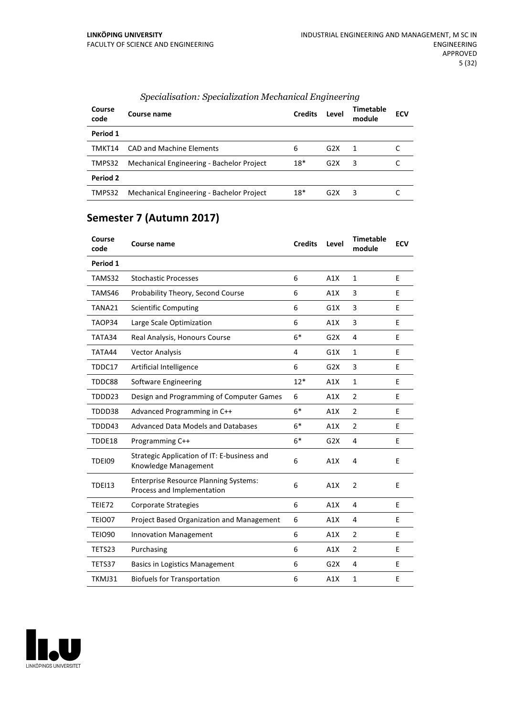| Course<br>code | Course name                               | <b>Credits</b> | Level            | Timetable<br>module     | <b>ECV</b> |
|----------------|-------------------------------------------|----------------|------------------|-------------------------|------------|
| Period 1       |                                           |                |                  |                         |            |
| TMKT14         | CAD and Machine Flements                  | 6              | G2X              | -1                      |            |
| TMPS32         | Mechanical Engineering - Bachelor Project | $18*$          | G2X              | $\overline{\mathbf{3}}$ |            |
| Period 2       |                                           |                |                  |                         |            |
| TMPS32         | Mechanical Engineering - Bachelor Project | $18*$          | G <sub>2</sub> X | 3                       |            |

# *Specialisation: Specialization Mechanical Engineering*

# **Semester 7 (Autumn 2017)**

| Course<br>code | <b>Course name</b>                                                         | <b>Credits</b> | Level | <b>Timetable</b><br>module | <b>ECV</b> |
|----------------|----------------------------------------------------------------------------|----------------|-------|----------------------------|------------|
| Period 1       |                                                                            |                |       |                            |            |
| TAMS32         | <b>Stochastic Processes</b>                                                | 6              | A1X   | $\mathbf{1}$               | E          |
| TAMS46         | Probability Theory, Second Course                                          | 6              | A1X   | 3                          | E          |
| TANA21         | <b>Scientific Computing</b>                                                | 6              | G1X   | 3                          | E          |
| TAOP34         | Large Scale Optimization                                                   | 6              | A1X   | 3                          | E          |
| TATA34         | Real Analysis, Honours Course                                              | $6*$           | G2X   | $\overline{4}$             | E          |
| TATA44         | <b>Vector Analysis</b>                                                     | 4              | G1X   | $\mathbf{1}$               | E          |
| TDDC17         | Artificial Intelligence                                                    | 6              | G2X   | 3                          | E          |
| TDDC88         | <b>Software Engineering</b>                                                | $12*$          | A1X   | $\mathbf{1}$               | E          |
| TDDD23         | Design and Programming of Computer Games                                   | 6              | A1X   | $\overline{2}$             | E          |
| TDDD38         | Advanced Programming in C++                                                | $6*$           | A1X   | $\overline{2}$             | E          |
| TDDD43         | <b>Advanced Data Models and Databases</b>                                  | $6*$           | A1X   | $\overline{2}$             | E          |
| TDDE18         | Programming C++                                                            | $6*$           | G2X   | 4                          | E          |
| <b>TDEI09</b>  | Strategic Application of IT: E-business and<br>Knowledge Management        | 6              | A1X   | 4                          | E          |
| <b>TDEI13</b>  | <b>Enterprise Resource Planning Systems:</b><br>Process and Implementation | 6              | A1X   | $\overline{2}$             | E          |
| TEIE72         | Corporate Strategies                                                       | 6              | A1X   | 4                          | E          |
| TEIO07         | Project Based Organization and Management                                  | 6              | A1X   | 4                          | E          |
| <b>TEIO90</b>  | <b>Innovation Management</b>                                               | 6              | A1X   | $\overline{2}$             | E          |
| TETS23         | Purchasing                                                                 | 6              | A1X   | $\overline{2}$             | E          |
| TETS37         | <b>Basics in Logistics Management</b>                                      | 6              | G2X   | 4                          | E          |
| TKMJ31         | <b>Biofuels for Transportation</b>                                         | 6              | A1X   | $\mathbf{1}$               | E          |

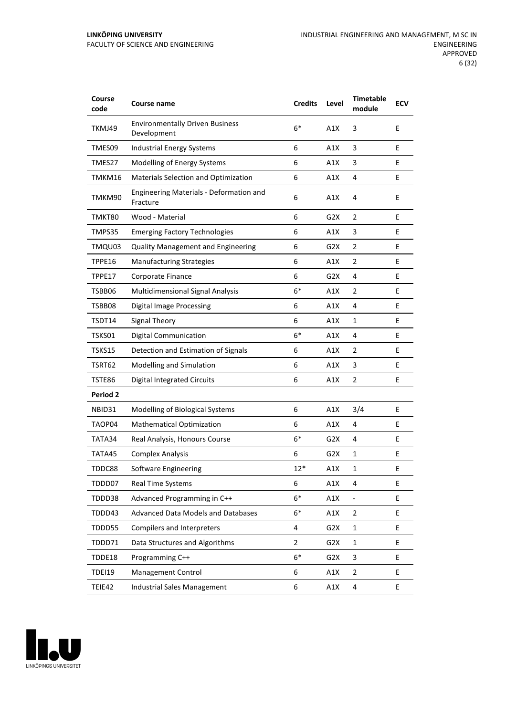#### **LINKÖPING UNIVERSITY** FACULTY OF SCIENCE AND ENGINEERING

| Course<br>code | Course name                                           | <b>Credits</b> | Level            | <b>Timetable</b><br>module | <b>ECV</b> |
|----------------|-------------------------------------------------------|----------------|------------------|----------------------------|------------|
| TKMJ49         | <b>Environmentally Driven Business</b><br>Development | $6*$           | A1X              | 3                          | E          |
| TMES09         | <b>Industrial Energy Systems</b>                      | 6              | A1X              | 3                          | E          |
| TMES27         | Modelling of Energy Systems                           | 6              | A1X              | 3                          | E          |
| TMKM16         | Materials Selection and Optimization                  | 6              | A1X              | 4                          | E          |
| TMKM90         | Engineering Materials - Deformation and<br>Fracture   | 6              | A1X              | 4                          | E          |
| TMKT80         | Wood - Material                                       | 6              | G <sub>2</sub> X | 2                          | E          |
| TMPS35         | <b>Emerging Factory Technologies</b>                  | 6              | A1X              | 3                          | E          |
| TMQU03         | <b>Quality Management and Engineering</b>             | 6              | G <sub>2</sub> X | 2                          | E          |
| TPPE16         | <b>Manufacturing Strategies</b>                       | 6              | A1X              | 2                          | E          |
| TPPE17         | Corporate Finance                                     | 6              | G <sub>2</sub> X | 4                          | Е          |
| TSBB06         | <b>Multidimensional Signal Analysis</b>               | $6*$           | A1X              | $\overline{2}$             | E          |
| TSBB08         | <b>Digital Image Processing</b>                       | 6              | A1X              | 4                          | E          |
| TSDT14         | <b>Signal Theory</b>                                  | 6              | A1X              | 1                          | E          |
| TSKS01         | <b>Digital Communication</b>                          | $6*$           | A1X              | 4                          | E.         |
| <b>TSKS15</b>  | Detection and Estimation of Signals                   | 6              | A1X              | $\overline{2}$             | E          |
| TSRT62         | Modelling and Simulation                              | 6              | A1X              | 3                          | E          |
| TSTE86         | <b>Digital Integrated Circuits</b>                    | 6              | A1X              | $\overline{2}$             | E          |
| Period 2       |                                                       |                |                  |                            |            |
| NBID31         | Modelling of Biological Systems                       | 6              | A1X              | 3/4                        | E          |
| TAOP04         | <b>Mathematical Optimization</b>                      | 6              | A1X              | 4                          | E          |
| TATA34         | Real Analysis, Honours Course                         | $6*$           | G2X              | 4                          | Ε          |
| TATA45         | <b>Complex Analysis</b>                               | 6              | G2X              | 1                          | E          |
| TDDC88         | Software Engineering                                  | $12*$          | A1X              | $\mathbf{1}$               | E          |
| TDDD07         | Real Time Systems                                     | 6              | A1X              | 4                          | E          |
| TDDD38         | Advanced Programming in C++                           | $6*$           | A1X              | ÷,                         | E          |
| TDDD43         | <b>Advanced Data Models and Databases</b>             | $6*$           | A1X              | $\overline{2}$             | E.         |
| TDDD55         | <b>Compilers and Interpreters</b>                     | 4              | G <sub>2</sub> X | $\mathbf{1}$               | E.         |
| TDDD71         | Data Structures and Algorithms                        | $\overline{2}$ | G2X              | $\mathbf{1}$               | E          |
| TDDE18         | Programming C++                                       | $6*$           | G <sub>2</sub> X | 3                          | E          |
| <b>TDEI19</b>  | Management Control                                    | 6              | A1X              | $\overline{2}$             | E          |
| TEIE42         | Industrial Sales Management                           | 6              | A1X              | 4                          | E          |

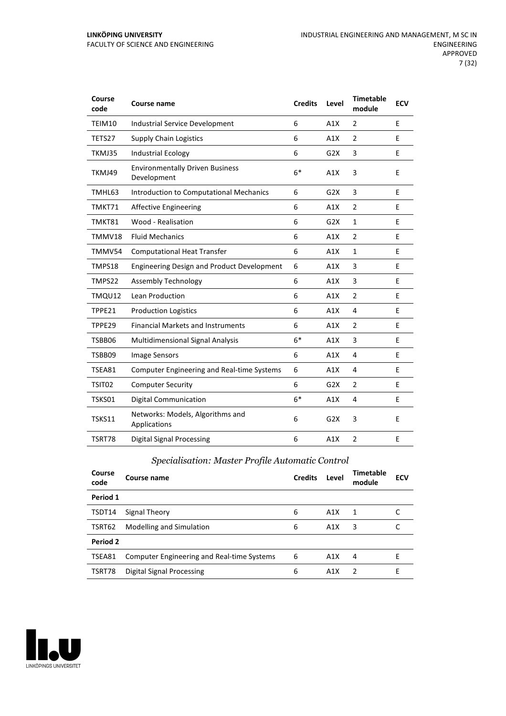#### **LINKÖPING UNIVERSITY** FACULTY OF SCIENCE AND ENGINEERING

| Course<br>code | <b>Course name</b>                                    | <b>Credits</b> | Level            | <b>Timetable</b><br>module | <b>ECV</b> |
|----------------|-------------------------------------------------------|----------------|------------------|----------------------------|------------|
| TEIM10         | <b>Industrial Service Development</b>                 | 6              | A1X              | 2                          | E          |
| TETS27         | <b>Supply Chain Logistics</b>                         | 6              | A1X              | $\overline{2}$             | E          |
| TKMJ35         | <b>Industrial Ecology</b>                             | 6              | G2X              | 3                          | E          |
| TKMJ49         | <b>Environmentally Driven Business</b><br>Development | $6*$           | A1X              | 3                          | E          |
| TMHL63         | Introduction to Computational Mechanics               | 6              | G2X              | 3                          | E          |
| TMKT71         | <b>Affective Engineering</b>                          | 6              | A1X              | $\overline{2}$             | E          |
| TMKT81         | Wood - Realisation                                    | 6              | G2X              | $\mathbf{1}$               | E          |
| TMMV18         | <b>Fluid Mechanics</b>                                | 6              | A1X              | $\overline{2}$             | E          |
| TMMV54         | <b>Computational Heat Transfer</b>                    | 6              | A1X              | $\mathbf{1}$               | E          |
| TMPS18         | <b>Engineering Design and Product Development</b>     | 6              | A1X              | 3                          | E          |
| TMPS22         | Assembly Technology                                   | 6              | A1X              | 3                          | E          |
| TMQU12         | Lean Production                                       | 6              | A1X              | $\overline{2}$             | E          |
| TPPE21         | <b>Production Logistics</b>                           | 6              | A1X              | 4                          | E          |
| TPPE29         | <b>Financial Markets and Instruments</b>              | 6              | A1X              | $\overline{2}$             | E          |
| TSBB06         | Multidimensional Signal Analysis                      | $6*$           | A1X              | 3                          | E          |
| TSBB09         | Image Sensors                                         | 6              | A1X              | 4                          | E          |
| TSEA81         | <b>Computer Engineering and Real-time Systems</b>     | 6              | A1X              | 4                          | E          |
| TSIT02         | <b>Computer Security</b>                              | 6              | G2X              | $\overline{2}$             | E          |
| TSKS01         | <b>Digital Communication</b>                          | $6*$           | A1X              | 4                          | E          |
| TSKS11         | Networks: Models, Algorithms and<br>Applications      | 6              | G <sub>2</sub> X | 3                          | E          |
| TSRT78         | <b>Digital Signal Processing</b>                      | 6              | A1X              | $\overline{2}$             | E          |

# *Specialisation: Master Profile Automatic Control*

| Course<br>code | Course name                                       | <b>Credits</b> | Level | Timetable<br>module | <b>ECV</b> |
|----------------|---------------------------------------------------|----------------|-------|---------------------|------------|
| Period 1       |                                                   |                |       |                     |            |
| TSDT14         | Signal Theory                                     | 6              | A1X   | 1                   |            |
| TSRT62         | Modelling and Simulation                          | 6              | A1X   | 3                   |            |
| Period 2       |                                                   |                |       |                     |            |
| TSEA81         | <b>Computer Engineering and Real-time Systems</b> | 6              | A1X   | 4                   | F          |
| TSRT78         | <b>Digital Signal Processing</b>                  | 6              | A1X   | $\mathcal{P}$       | F          |

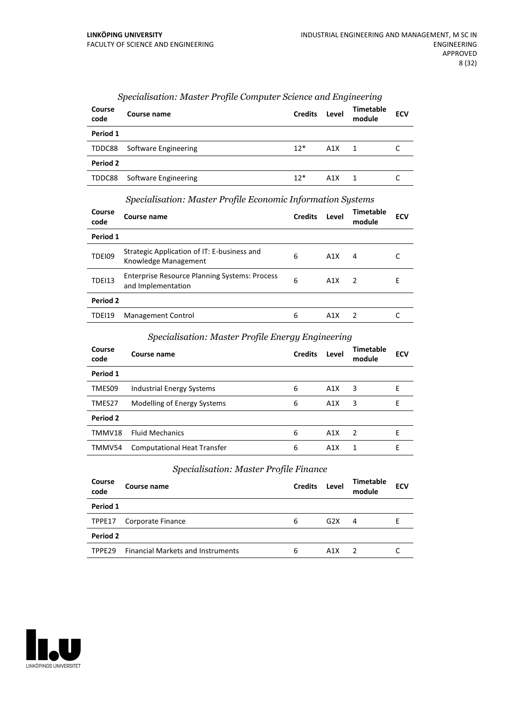| Course<br>code | Course name          | <b>Credits</b> | Level | <b>Timetable</b><br>module | <b>ECV</b> |
|----------------|----------------------|----------------|-------|----------------------------|------------|
| Period 1       |                      |                |       |                            |            |
| TDDC88         | Software Engineering | $12*$          | A1X   | 1                          |            |
| Period 2       |                      |                |       |                            |            |
| TDDC88         | Software Engineering | $12*$          | A1X   | 1                          |            |

# *Specialisation: Master Profile Computer Science and Engineering*

#### *Specialisation: Master Profile Economic Information Systems*

| Course<br>code | Course name                                                                | <b>Credits</b> | Level | Timetable<br>module | ECV |  |  |
|----------------|----------------------------------------------------------------------------|----------------|-------|---------------------|-----|--|--|
| Period 1       |                                                                            |                |       |                     |     |  |  |
| TDEI09         | Strategic Application of IT: E-business and<br>Knowledge Management        | 6              | A1X   | 4                   |     |  |  |
| <b>TDEI13</b>  | <b>Enterprise Resource Planning Systems: Process</b><br>and Implementation | 6              | A1X   | $\overline{2}$      | Е   |  |  |
| Period 2       |                                                                            |                |       |                     |     |  |  |
| TDEI19         | Management Control                                                         | 6              | A1X   | $\overline{2}$      |     |  |  |

# *Specialisation: Master Profile Energy Engineering*

| Course<br>code | Course name                        | <b>Credits</b> | Level | Timetable<br>module | <b>ECV</b> |
|----------------|------------------------------------|----------------|-------|---------------------|------------|
| Period 1       |                                    |                |       |                     |            |
| TMES09         | Industrial Energy Systems          | 6              | A1X   | 3                   | Е          |
| TMES27         | Modelling of Energy Systems        | 6              | A1X   | 3                   | E          |
| Period 2       |                                    |                |       |                     |            |
| TMMV18         | <b>Fluid Mechanics</b>             | 6              | A1X   | 2                   | F          |
| TMMV54         | <b>Computational Heat Transfer</b> | 6              | A1X   | 1                   | F          |

#### *Specialisation: Master Profile Finance*

| Course<br>code     | Course name                              | <b>Credits</b> | Level | Timetable<br>module | <b>ECV</b> |
|--------------------|------------------------------------------|----------------|-------|---------------------|------------|
| Period 1           |                                          |                |       |                     |            |
| TPPE17             | Corporate Finance                        | 6              | G2X   | 4                   | F          |
| Period 2           |                                          |                |       |                     |            |
| TPPF <sub>29</sub> | <b>Financial Markets and Instruments</b> | 6              | A1X   | $\overline{z}$      |            |
|                    |                                          |                |       |                     |            |

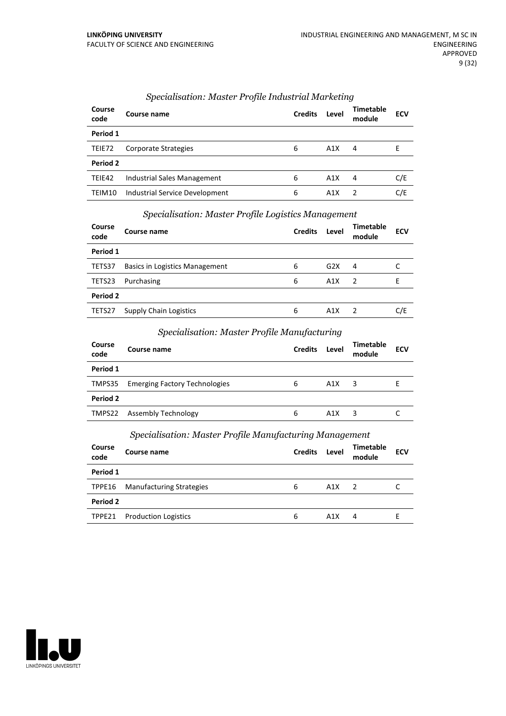| Course<br>code | Course name                    | <b>Credits</b> | Level | <b>Timetable</b><br>module | <b>ECV</b> |
|----------------|--------------------------------|----------------|-------|----------------------------|------------|
| Period 1       |                                |                |       |                            |            |
| TEIE72         | Corporate Strategies           | 6              | A1X   | 4                          | E          |
| Period 2       |                                |                |       |                            |            |
| TEIE42         | Industrial Sales Management    | 6              | A1X   | 4                          | C/E        |
| TEIM10         | Industrial Service Development | 6              | A1X   | 2                          | C/E        |

# *Specialisation: Master Profile Industrial Marketing*

# *Specialisation: Master Profile Logistics Management*

| Course<br>code | Course name                    | <b>Credits</b> | Level | Timetable<br>module | <b>ECV</b> |
|----------------|--------------------------------|----------------|-------|---------------------|------------|
| Period 1       |                                |                |       |                     |            |
| TETS37         | Basics in Logistics Management | 6              | G2X   | 4                   |            |
| TETS23         | Purchasing                     | 6              | A1X   | $\mathcal{L}$       | F          |
| Period 2       |                                |                |       |                     |            |
| TETS27         | <b>Supply Chain Logistics</b>  | 6              | A1X   |                     | C/E        |

# *Specialisation: Master Profile Manufacturing*

| Course<br>code | Course name                          | <b>Credits</b> | Level            | <b>Timetable</b><br>module | <b>ECV</b> |
|----------------|--------------------------------------|----------------|------------------|----------------------------|------------|
| Period 1       |                                      |                |                  |                            |            |
| TMPS35         | <b>Emerging Factory Technologies</b> | 6              | A1X              | 3                          |            |
| Period 2       |                                      |                |                  |                            |            |
| TMPS22         | Assembly Technology                  | 6              | A <sub>1</sub> X | 3                          |            |

# *Specialisation: Master Profile Manufacturing Management*

| Course<br>code | Course name                 | <b>Credits</b> | Level            | <b>Timetable</b><br>module | <b>ECV</b> |
|----------------|-----------------------------|----------------|------------------|----------------------------|------------|
| Period 1       |                             |                |                  |                            |            |
| TPPE16         | Manufacturing Strategies    | 6              | A1X              | $\overline{2}$             |            |
| Period 2       |                             |                |                  |                            |            |
| TPPE21         | <b>Production Logistics</b> | 6              | A <sub>1</sub> X | 4                          |            |

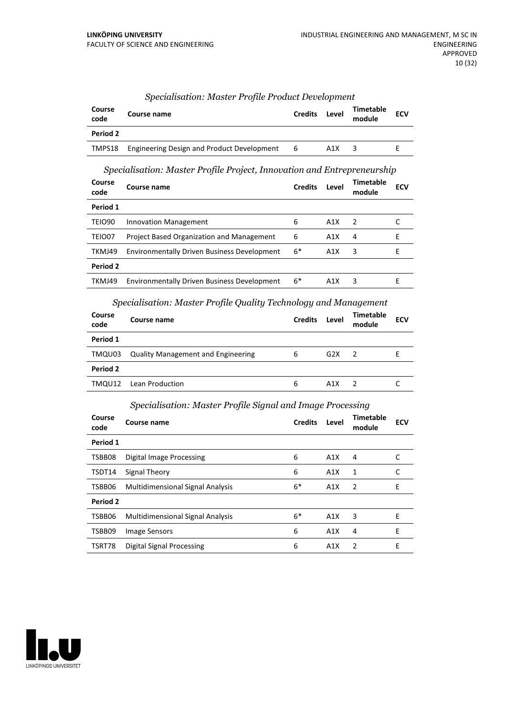| Course<br>code | Course name                                       | <b>Credits</b> | Level | Timetable<br>module | <b>ECV</b> |
|----------------|---------------------------------------------------|----------------|-------|---------------------|------------|
| Period 2       |                                                   |                |       |                     |            |
| TMPS18         | <b>Engineering Design and Product Development</b> | 6              | A1X   |                     |            |

# *Specialisation: Master Profile Product Development*

# *Specialisation: Master Profile Project, Innovation and Entrepreneurship*

| Course<br>code | Course name                                        | <b>Credits</b> | Level            | <b>Timetable</b><br>module | ECV |
|----------------|----------------------------------------------------|----------------|------------------|----------------------------|-----|
| Period 1       |                                                    |                |                  |                            |     |
| <b>TEIO90</b>  | <b>Innovation Management</b>                       | 6              | A <sub>1</sub> X | $\mathcal{P}$              |     |
| TEIO07         | Project Based Organization and Management          | 6              | A1X              | 4                          | F   |
| TKMJ49         | <b>Environmentally Driven Business Development</b> | $6*$           | A1X              | 3                          | F   |
| Period 2       |                                                    |                |                  |                            |     |
| TKMJ49         | <b>Environmentally Driven Business Development</b> | 6*             | A1X              | 3                          |     |
|                |                                                    |                |                  |                            |     |

# *Specialisation: Master Profile Quality Technology and Management*

| Course<br>code | Course name                               | <b>Credits</b> | Level | <b>Timetable</b><br>module | <b>ECV</b> |
|----------------|-------------------------------------------|----------------|-------|----------------------------|------------|
| Period 1       |                                           |                |       |                            |            |
| TMQU03         | <b>Quality Management and Engineering</b> | 6              | G2X   | $\mathcal{P}$              |            |
| Period 2       |                                           |                |       |                            |            |
|                | TMQU12 Lean Production                    | 6              | A1X   |                            |            |

# *Specialisation: Master Profile Signal and Image Processing*

| Course<br>code | Course name                             | <b>Credits</b> | Level | Timetable<br>module | <b>ECV</b> |
|----------------|-----------------------------------------|----------------|-------|---------------------|------------|
| Period 1       |                                         |                |       |                     |            |
| TSBB08         | Digital Image Processing                | 6              | A1X   | 4                   | C          |
| TSDT14         | Signal Theory                           | 6              | A1X   | 1                   | C          |
| TSBB06         | <b>Multidimensional Signal Analysis</b> | $6*$           | A1X   | 2                   | Ε          |
| Period 2       |                                         |                |       |                     |            |
| TSBB06         | <b>Multidimensional Signal Analysis</b> | $6*$           | A1X   | 3                   | F          |
| TSBB09         | Image Sensors                           | 6              | A1X   | 4                   | E          |
| TSRT78         | Digital Signal Processing               | 6              | A1X   | $\overline{2}$      | E          |

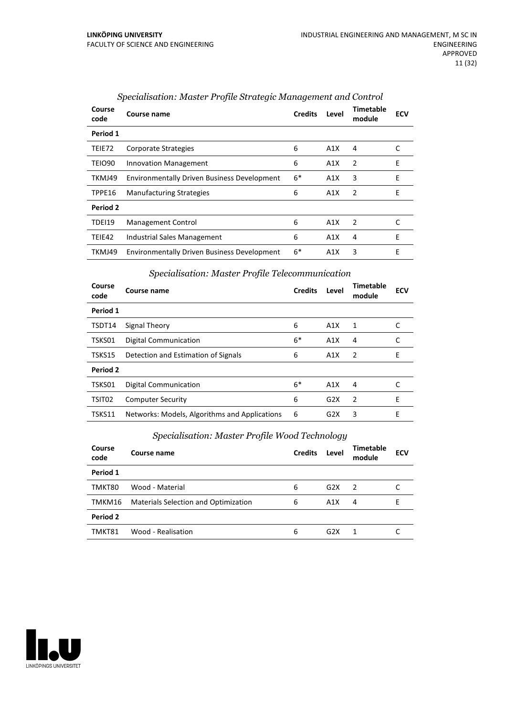| Course<br>code | Course name                                        | <b>Credits</b> | Level | Timetable<br>module | <b>ECV</b> |
|----------------|----------------------------------------------------|----------------|-------|---------------------|------------|
| Period 1       |                                                    |                |       |                     |            |
| TEIE72         | Corporate Strategies                               | 6              | A1X   | 4                   |            |
| TEIO90         | <b>Innovation Management</b>                       | 6              | A1X   | $\overline{2}$      | E          |
| TKMJ49         | <b>Environmentally Driven Business Development</b> | $6*$           | A1X   | 3                   | E          |
| TPPE16         | <b>Manufacturing Strategies</b>                    | 6              | A1X   | 2                   | E          |
| Period 2       |                                                    |                |       |                     |            |
| <b>TDEI19</b>  | Management Control                                 | 6              | A1X   | $\overline{2}$      | C          |
| TEIE42         | Industrial Sales Management                        | 6              | A1X   | 4                   | Е          |
| TKMJ49         | <b>Environmentally Driven Business Development</b> | $6*$           | A1X   | 3                   | E          |

# *Specialisation: Master Profile Strategic Management and Control*

#### *Specialisation: Master Profile Telecommunication*

| Course<br>code | Course name                                   | <b>Credits</b> | Level | Timetable<br>module | <b>ECV</b> |
|----------------|-----------------------------------------------|----------------|-------|---------------------|------------|
| Period 1       |                                               |                |       |                     |            |
| TSDT14         | Signal Theory                                 | 6              | A1X   | 1                   |            |
| TSKS01         | Digital Communication                         | $6*$           | A1X   | 4                   |            |
| TSKS15         | Detection and Estimation of Signals           | 6              | A1X   | $\overline{2}$      | E          |
| Period 2       |                                               |                |       |                     |            |
| TSKS01         | <b>Digital Communication</b>                  | $6*$           | A1X   | 4                   |            |
| TSIT02         | <b>Computer Security</b>                      | 6              | G2X   | $\overline{2}$      | E          |
| TSKS11         | Networks: Models, Algorithms and Applications | 6              | G2X   | 3                   | E          |

# *Specialisation: Master Profile Wood Technology*

| Course<br>code | Course name                                 | <b>Credits</b> | Level            | <b>Timetable</b><br>module | <b>ECV</b> |
|----------------|---------------------------------------------|----------------|------------------|----------------------------|------------|
| Period 1       |                                             |                |                  |                            |            |
| TMKT80         | Wood - Material                             | 6              | G2X              | 2                          |            |
| TMKM16         | <b>Materials Selection and Optimization</b> | 6              | A1X              | 4                          |            |
| Period 2       |                                             |                |                  |                            |            |
| TMKT81         | Wood - Realisation                          | 6              | G <sub>2</sub> X |                            |            |

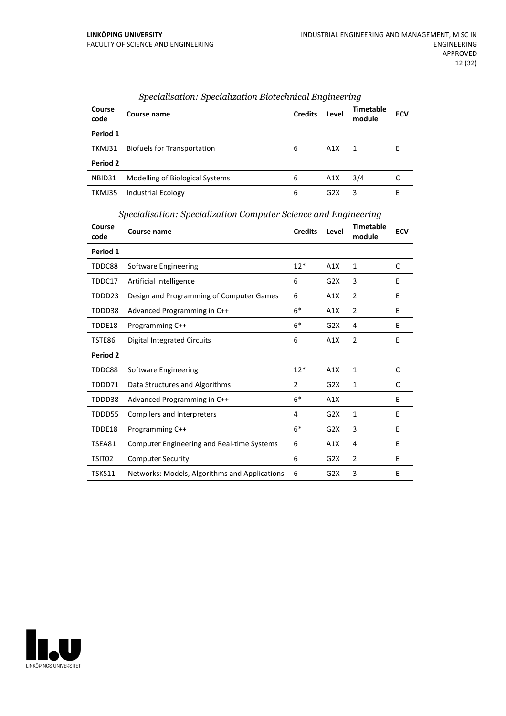| Course<br>code | Course name                        | <b>Credits</b> | Level            | <b>Timetable</b><br>module | <b>ECV</b> |
|----------------|------------------------------------|----------------|------------------|----------------------------|------------|
| Period 1       |                                    |                |                  |                            |            |
| TKMJ31         | <b>Biofuels for Transportation</b> | 6              | A1X              | 1                          |            |
| Period 2       |                                    |                |                  |                            |            |
| NBID31         | Modelling of Biological Systems    | 6              | A1X              | 3/4                        |            |
| TKMJ35         | <b>Industrial Ecology</b>          | 6              | G <sub>2</sub> X | 3                          | F          |

# *Specialisation: Specialization Biotechnical Engineering*

*Specialisation: Specialization Computer Science and Engineering*

| Course<br>code | Course name                                       | <b>Credits</b> | Level            | <b>Timetable</b><br>module | <b>ECV</b> |
|----------------|---------------------------------------------------|----------------|------------------|----------------------------|------------|
| Period 1       |                                                   |                |                  |                            |            |
| TDDC88         | Software Engineering                              | $12*$          | A1X              | 1                          | C          |
| TDDC17         | Artificial Intelligence                           | 6              | G2X              | 3                          | E          |
| TDDD23         | Design and Programming of Computer Games          | 6              | A1X              | $\overline{2}$             | E          |
| TDDD38         | Advanced Programming in C++                       | $6*$           | A1X              | $\overline{2}$             | Ε          |
| TDDE18         | Programming C++                                   | $6*$           | G2X              | 4                          | E          |
| TSTE86         | <b>Digital Integrated Circuits</b>                | 6              | A1X              | $\overline{2}$             | E          |
| Period 2       |                                                   |                |                  |                            |            |
| TDDC88         | Software Engineering                              | $12*$          | A1X              | 1                          | C          |
| TDDD71         | Data Structures and Algorithms                    | 2              | G <sub>2</sub> X | 1                          | C          |
| TDDD38         | Advanced Programming in C++                       | $6*$           | A1X              | $\overline{\phantom{a}}$   | E          |
| TDDD55         | Compilers and Interpreters                        | 4              | G2X              | 1                          | E          |
| TDDE18         | Programming C++                                   | $6*$           | G2X              | 3                          | E          |
| TSEA81         | <b>Computer Engineering and Real-time Systems</b> | 6              | A1X              | 4                          | E          |
| TSIT02         | <b>Computer Security</b>                          | 6              | G2X              | $\overline{2}$             | E          |
| TSKS11         | Networks: Models, Algorithms and Applications     | 6              | G2X              | 3                          | E          |

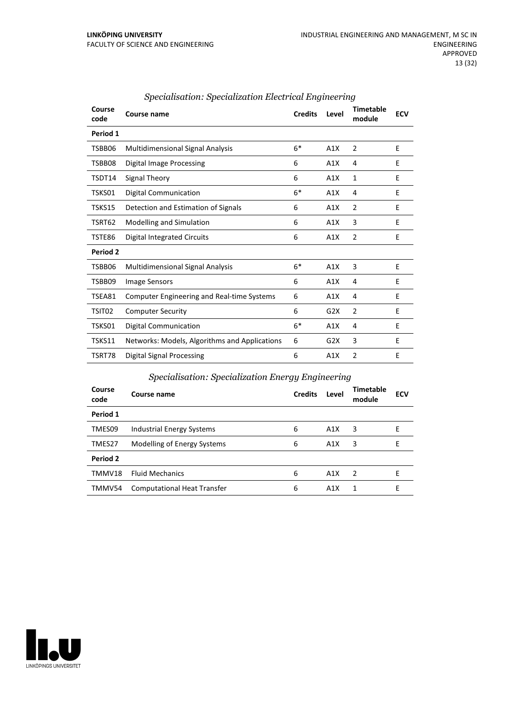| Course<br>code | Course name                                       | <b>Credits</b> | Level | <b>Timetable</b><br>module | <b>ECV</b> |
|----------------|---------------------------------------------------|----------------|-------|----------------------------|------------|
| Period 1       |                                                   |                |       |                            |            |
| TSBB06         | <b>Multidimensional Signal Analysis</b>           | $6*$           | A1X   | 2                          | E          |
| TSBB08         | Digital Image Processing                          | 6              | A1X   | 4                          | E          |
| TSDT14         | Signal Theory                                     | 6              | A1X   | 1                          | E          |
| TSKS01         | Digital Communication                             | $6*$           | A1X   | 4                          | E          |
| TSKS15         | Detection and Estimation of Signals               | 6              | A1X   | $\overline{2}$             | E          |
| TSRT62         | Modelling and Simulation                          | 6              | A1X   | 3                          | E          |
| TSTE86         | Digital Integrated Circuits                       | 6              | A1X   | $\overline{2}$             | E          |
| Period 2       |                                                   |                |       |                            |            |
| TSBB06         | <b>Multidimensional Signal Analysis</b>           | $6*$           | A1X   | 3                          | E          |
| TSBB09         | Image Sensors                                     | 6              | A1X   | 4                          | E          |
| TSEA81         | <b>Computer Engineering and Real-time Systems</b> | 6              | A1X   | 4                          | E          |
| TSIT02         | <b>Computer Security</b>                          | 6              | G2X   | $\overline{2}$             | E          |
| TSKS01         | Digital Communication                             | $6*$           | A1X   | 4                          | E          |
| TSKS11         | Networks: Models, Algorithms and Applications     | 6              | G2X   | 3                          | E          |
| TSRT78         | <b>Digital Signal Processing</b>                  | 6              | A1X   | $\overline{2}$             | F          |

# *Specialisation: Specialization Electrical Engineering*

# *Specialisation: Specialization Energy Engineering*

| Course<br>code | Course name                        | <b>Credits</b> | Level            | <b>Timetable</b><br>module | <b>ECV</b> |
|----------------|------------------------------------|----------------|------------------|----------------------------|------------|
| Period 1       |                                    |                |                  |                            |            |
| TMES09         | Industrial Energy Systems          | 6              | A1X              | 3                          | F          |
| TMES27         | Modelling of Energy Systems        | 6              | A1X              | 3                          | Е          |
| Period 2       |                                    |                |                  |                            |            |
| TMMV18         | <b>Fluid Mechanics</b>             | 6              | A1X              | $\overline{z}$             | F          |
| TMMV54         | <b>Computational Heat Transfer</b> | 6              | A <sub>1</sub> X | 1                          | F          |

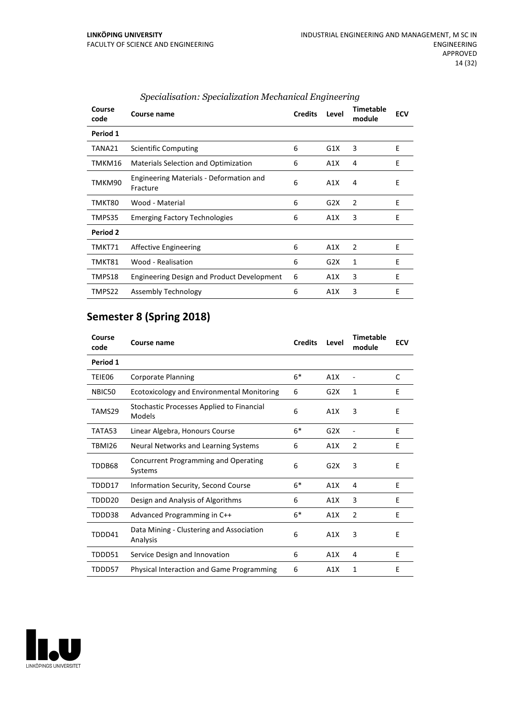| Course<br>code | Course name                                         | <b>Credits</b> | Level | <b>Timetable</b><br>module | <b>ECV</b> |
|----------------|-----------------------------------------------------|----------------|-------|----------------------------|------------|
| Period 1       |                                                     |                |       |                            |            |
| TANA21         | Scientific Computing                                | 6              | G1X   | 3                          | E          |
| TMKM16         | Materials Selection and Optimization                | 6              | A1X   | 4                          | F          |
| TMKM90         | Engineering Materials - Deformation and<br>Fracture | 6              | A1X   | 4                          | E          |
| TMKT80         | Wood - Material                                     | 6              | G2X   | 2                          | E          |
| TMPS35         | <b>Emerging Factory Technologies</b>                | 6              | A1X   | 3                          | E          |
| Period 2       |                                                     |                |       |                            |            |
| TMKT71         | Affective Engineering                               | 6              | A1X   | 2                          | E          |
| TMKT81         | Wood - Realisation                                  | 6              | G2X   | 1                          | F          |
| TMPS18         | <b>Engineering Design and Product Development</b>   | 6              | A1X   | 3                          | E          |
| TMPS22         | Assembly Technology                                 | 6              | A1X   | 3                          | F          |

# *Specialisation: Specialization Mechanical Engineering*

# **Semester 8 (Spring 2018)**

| Course<br>code | Course name                                          | <b>Credits</b> | Level | <b>Timetable</b><br>module | <b>ECV</b> |
|----------------|------------------------------------------------------|----------------|-------|----------------------------|------------|
| Period 1       |                                                      |                |       |                            |            |
| TEIE06         | <b>Corporate Planning</b>                            | $6*$           | A1X   |                            | C          |
| NBIC50         | <b>Ecotoxicology and Environmental Monitoring</b>    | 6              | G2X   | 1                          | E          |
| TAMS29         | Stochastic Processes Applied to Financial<br>Models  | 6              | A1X   | 3                          | E          |
| TATA53         | Linear Algebra, Honours Course                       | $6*$           | G2X   |                            | E          |
| <b>TBMI26</b>  | Neural Networks and Learning Systems                 | 6              | A1X   | $\overline{2}$             | F          |
| TDDB68         | Concurrent Programming and Operating<br>Systems      | 6              | G2X   | 3                          | E          |
| TDDD17         | Information Security, Second Course                  | $6*$           | A1X   | 4                          | E          |
| TDDD20         | Design and Analysis of Algorithms                    | 6              | A1X   | 3                          | E          |
| TDDD38         | Advanced Programming in C++                          | $6*$           | A1X   | $\overline{2}$             | E          |
| TDDD41         | Data Mining - Clustering and Association<br>Analysis | 6              | A1X   | 3                          | E          |
| TDDD51         | Service Design and Innovation                        | 6              | A1X   | 4                          | E          |
| TDDD57         | Physical Interaction and Game Programming            | 6              | A1X   | 1                          | E          |

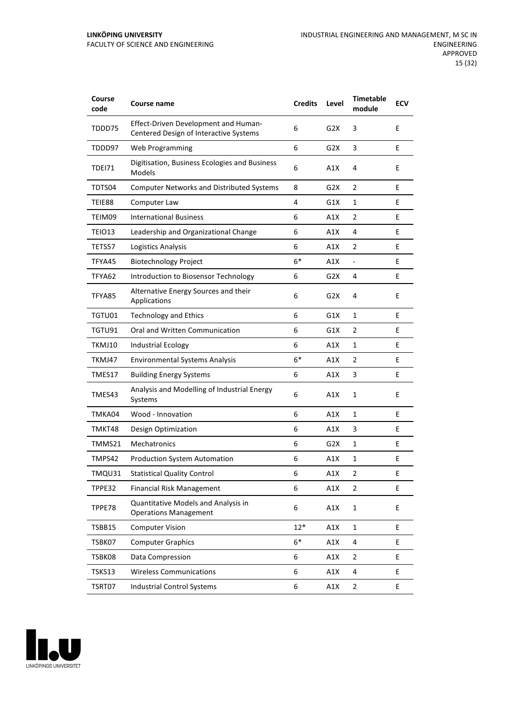| Course<br>code | Course name                                                                           | <b>Credits</b> | Level            | <b>Timetable</b><br>module | <b>ECV</b> |
|----------------|---------------------------------------------------------------------------------------|----------------|------------------|----------------------------|------------|
| TDDD75         | <b>Effect-Driven Development and Human-</b><br>Centered Design of Interactive Systems | 6              | G <sub>2</sub> X | 3                          | E          |
| TDDD97         | Web Programming                                                                       | 6              | G2X              | 3                          | E          |
| TDEI71         | Digitisation, Business Ecologies and Business<br>Models                               | 6              | A1X              | 4                          | E          |
| TDTS04         | <b>Computer Networks and Distributed Systems</b>                                      | 8              | G2X              | 2                          | E          |
| TEIE88         | Computer Law                                                                          | 4              | G1X              | $\mathbf{1}$               | Е          |
| TEIM09         | <b>International Business</b>                                                         | 6              | A1X              | 2                          | E          |
| TEIO13         | Leadership and Organizational Change                                                  | 6              | A1X              | 4                          | E          |
| TETS57         | Logistics Analysis                                                                    | 6              | A1X              | 2                          | E          |
| TFYA45         | <b>Biotechnology Project</b>                                                          | $6*$           | A1X              | $\blacksquare$             | E          |
| TFYA62         | Introduction to Biosensor Technology                                                  | 6              | G <sub>2</sub> X | 4                          | Е          |
| TFYA85         | Alternative Energy Sources and their<br>Applications                                  | 6              | G2X              | 4                          | E          |
| TGTU01         | <b>Technology and Ethics</b>                                                          | 6              | G1X              | 1                          | E          |
| TGTU91         | Oral and Written Communication                                                        | 6              | G1X              | $\overline{2}$             | E          |
| TKMJ10         | <b>Industrial Ecology</b>                                                             | 6              | A1X              | $\mathbf{1}$               | E          |
| TKMJ47         | <b>Environmental Systems Analysis</b>                                                 | $6*$           | A1X              | 2                          | E          |
| TMES17         | <b>Building Energy Systems</b>                                                        | 6              | A1X              | 3                          | E          |
| TMES43         | Analysis and Modelling of Industrial Energy<br>Systems                                | 6              | A1X              | 1                          | E          |
| TMKA04         | Wood - Innovation                                                                     | 6              | A1X              | 1                          | E          |
| TMKT48         | Design Optimization                                                                   | 6              | A1X              | 3                          | Ε          |
| TMMS21         | Mechatronics                                                                          | 6              | G2X              | 1                          | E          |
| TMPS42         | <b>Production System Automation</b>                                                   | 6              | A1X              | 1                          | E          |
| TMQU31         | <b>Statistical Quality Control</b>                                                    | 6              | A1X              | 2                          | Ε          |
| TPPE32         | <b>Financial Risk Management</b>                                                      | 6              | A1X              | 2                          | E          |
| TPPE78         | Quantitative Models and Analysis in<br><b>Operations Management</b>                   | 6              | A1X              | 1                          | E          |
| TSBB15         | <b>Computer Vision</b>                                                                | $12*$          | A1X              | $\mathbf{1}$               | E.         |
| TSBK07         | <b>Computer Graphics</b>                                                              | $6*$           | A1X              | 4                          | E          |
| TSBK08         | Data Compression                                                                      | 6              | A1X              | 2                          | E          |
| TSKS13         | <b>Wireless Communications</b>                                                        | 6              | A1X              | 4                          | E          |
| TSRT07         | <b>Industrial Control Systems</b>                                                     | 6              | A1X              | 2                          | E          |

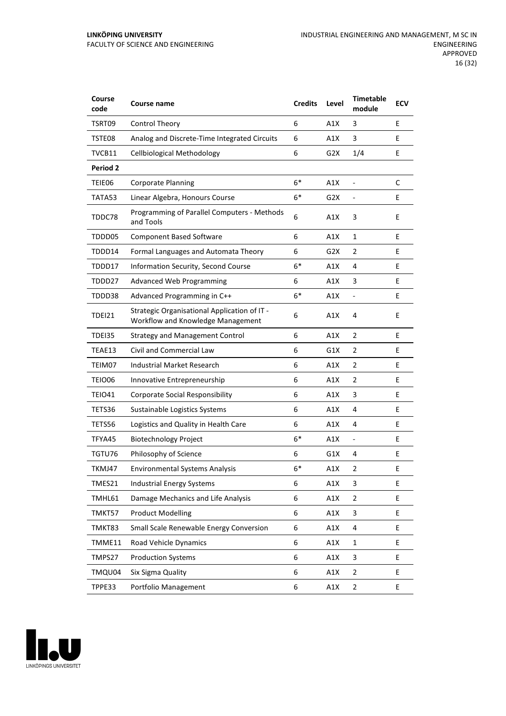#### **LINKÖPING UNIVERSITY** FACULTY OF SCIENCE AND ENGINEERING

| Course<br>code  | Course name                                                                       | <b>Credits</b> | Level | <b>Timetable</b><br>module   | <b>ECV</b> |
|-----------------|-----------------------------------------------------------------------------------|----------------|-------|------------------------------|------------|
| TSRT09          | Control Theory                                                                    | 6              | A1X   | 3                            | E          |
| TSTE08          | Analog and Discrete-Time Integrated Circuits                                      | 6              | A1X   | 3                            | E          |
| TVCB11          | <b>Cellbiological Methodology</b>                                                 | 6              | G2X   | 1/4                          | E          |
| <b>Period 2</b> |                                                                                   |                |       |                              |            |
| TEIE06          | <b>Corporate Planning</b>                                                         | $6*$           | A1X   |                              | C          |
| TATA53          | Linear Algebra, Honours Course                                                    | $6*$           | G2X   | $\overline{\phantom{a}}$     | E          |
| TDDC78          | Programming of Parallel Computers - Methods<br>and Tools                          | 6              | A1X   | 3                            | E          |
| TDDD05          | <b>Component Based Software</b>                                                   | 6              | A1X   | $\mathbf{1}$                 | E          |
| TDDD14          | Formal Languages and Automata Theory                                              | 6              | G2X   | 2                            | E          |
| TDDD17          | Information Security, Second Course                                               | $6*$           | A1X   | 4                            | E          |
| TDDD27          | <b>Advanced Web Programming</b>                                                   | 6              | A1X   | 3                            | E          |
| TDDD38          | Advanced Programming in C++                                                       | $6*$           | A1X   | $\qquad \qquad \blacksquare$ | E          |
| <b>TDEI21</b>   | Strategic Organisational Application of IT -<br>Workflow and Knowledge Management | 6              | A1X   | 4                            | E          |
| TDEI35          | <b>Strategy and Management Control</b>                                            | 6              | A1X   | 2                            | E          |
| TEAE13          | Civil and Commercial Law                                                          | 6              | G1X   | $\overline{2}$               | E          |
| TEIM07          | Industrial Market Research                                                        | 6              | A1X   | 2                            | E          |
| TEIO06          | Innovative Entrepreneurship                                                       | 6              | A1X   | $\overline{2}$               | E          |
| TEIO41          | <b>Corporate Social Responsibility</b>                                            | 6              | A1X   | 3                            | E          |
| TETS36          | Sustainable Logistics Systems                                                     | 6              | A1X   | 4                            | E          |
| TETS56          | Logistics and Quality in Health Care                                              | 6              | A1X   | 4                            | E          |
| TFYA45          | <b>Biotechnology Project</b>                                                      | $6*$           | A1X   | $\blacksquare$               | E          |
| TGTU76          | Philosophy of Science                                                             | 6              | G1X   | 4                            | E          |
| TKMJ47          | <b>Environmental Systems Analysis</b>                                             | $6*$           | A1X   | $\overline{2}$               | E          |
| TMES21          | <b>Industrial Energy Systems</b>                                                  | 6              | A1X   | 3                            | E          |
| TMHL61          | Damage Mechanics and Life Analysis                                                | 6              | A1X   | $\overline{2}$               | E          |
| TMKT57          | <b>Product Modelling</b>                                                          | 6              | A1X   | 3                            | E          |
| TMKT83          | Small Scale Renewable Energy Conversion                                           | 6              | A1X   | 4                            | E.         |
| TMME11          | Road Vehicle Dynamics                                                             | 6              | A1X   | $\mathbf{1}$                 | E          |
| TMPS27          | <b>Production Systems</b>                                                         | 6              | A1X   | 3                            | E          |
| TMQU04          | Six Sigma Quality                                                                 | 6              | A1X   | $\mathbf 2$                  | E          |
| TPPE33          | Portfolio Management                                                              | 6              | A1X   | $\overline{2}$               | E          |

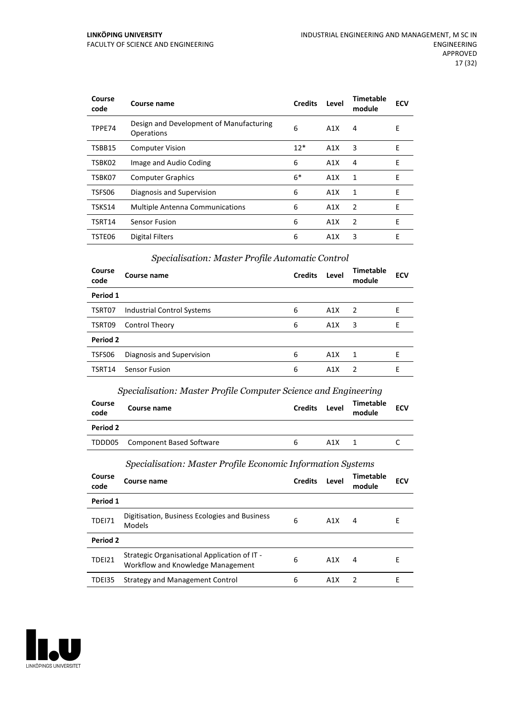#### **LINKÖPING UNIVERSITY** FACULTY OF SCIENCE AND ENGINEERING

| Course<br>code | Course name                                           | <b>Credits</b> | Level            | <b>Timetable</b><br>module | <b>ECV</b> |
|----------------|-------------------------------------------------------|----------------|------------------|----------------------------|------------|
| TPPE74         | Design and Development of Manufacturing<br>Operations | 6              | A1X              | 4                          | Е          |
| TSBB15         | <b>Computer Vision</b>                                | $12*$          | A1X              | 3                          | E          |
| TSBK02         | Image and Audio Coding                                | 6              | A1X              | 4                          | E          |
| TSBK07         | <b>Computer Graphics</b>                              | $6*$           | A1X              | 1                          | E          |
| TSFS06         | Diagnosis and Supervision                             | 6              | A1X              | 1                          | E          |
| TSKS14         | <b>Multiple Antenna Communications</b>                | 6              | A1X              | $\overline{2}$             | E          |
| TSRT14         | <b>Sensor Fusion</b>                                  | 6              | A1X              | $\overline{2}$             | E          |
| TSTE06         | Digital Filters                                       | 6              | A <sub>1</sub> X | 3                          | E          |

# *Specialisation: Master Profile Automatic Control*

| Course<br>code | Course name                | <b>Credits</b> | Level | <b>Timetable</b><br>module | <b>ECV</b> |
|----------------|----------------------------|----------------|-------|----------------------------|------------|
| Period 1       |                            |                |       |                            |            |
| TSRT07         | Industrial Control Systems | 6              | A1X   | 2                          | E          |
| TSRT09         | <b>Control Theory</b>      | 6              | A1X   | 3                          | E          |
| Period 2       |                            |                |       |                            |            |
| TSFS06         | Diagnosis and Supervision  | 6              | A1X   | -1                         | F          |
| TSRT14         | <b>Sensor Fusion</b>       | 6              | A1X   | $\overline{2}$             | F          |

# *Specialisation: Master Profile Computer Science and Engineering*

| Course<br>code  | Course name                     | <b>Credits</b> | Level | Timetable<br>module | <b>ECV</b> |
|-----------------|---------------------------------|----------------|-------|---------------------|------------|
| <b>Period 2</b> |                                 |                |       |                     |            |
| TDDD05          | <b>Component Based Software</b> | <sub>6</sub>   | A1X   |                     |            |

# *Specialisation: Master Profile Economic Information Systems*

| Course<br>code | Course name                                                                       | <b>Credits</b> | Level | Timetable<br>module | <b>ECV</b> |
|----------------|-----------------------------------------------------------------------------------|----------------|-------|---------------------|------------|
| Period 1       |                                                                                   |                |       |                     |            |
| <b>TDEI71</b>  | Digitisation, Business Ecologies and Business<br>Models                           | 6              | A1X   | 4                   | Е          |
| Period 2       |                                                                                   |                |       |                     |            |
| <b>TDEI21</b>  | Strategic Organisational Application of IT -<br>Workflow and Knowledge Management | 6              | A1X   | 4                   | Е          |
| TDEI35         | <b>Strategy and Management Control</b>                                            | 6              | A1X   | -2                  | F          |

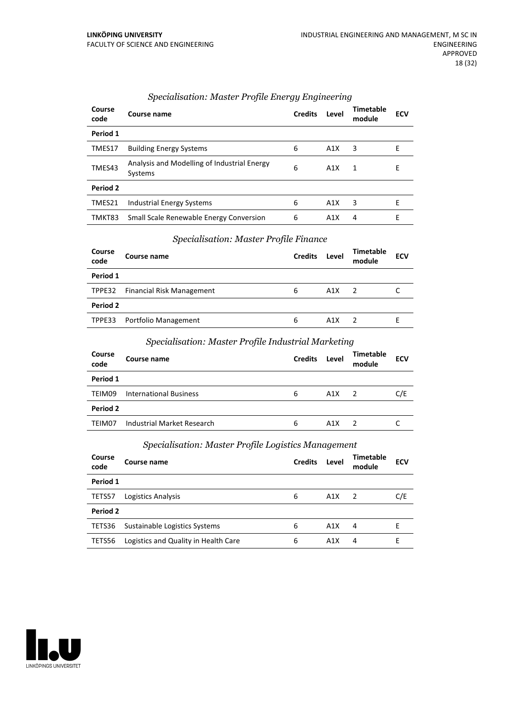| Course<br>code | Course name                                            | <b>Credits</b> | Level | Timetable<br>module | <b>ECV</b> |
|----------------|--------------------------------------------------------|----------------|-------|---------------------|------------|
| Period 1       |                                                        |                |       |                     |            |
| TMES17         | <b>Building Energy Systems</b>                         | 6              | A1X   | 3                   | E          |
| TMES43         | Analysis and Modelling of Industrial Energy<br>Systems | 6              | A1X   | 1                   | E          |
| Period 2       |                                                        |                |       |                     |            |
| TMES21         | <b>Industrial Energy Systems</b>                       | 6              | A1X   | 3                   | F          |
| TMKT83         | Small Scale Renewable Energy Conversion                | 6              | A1X   | 4                   | F          |

# *Specialisation: Master Profile Energy Engineering*

# *Specialisation: Master Profile Finance*

| Course<br>code | Course name                      | <b>Credits</b> | Level | <b>Timetable</b><br>module | <b>ECV</b> |
|----------------|----------------------------------|----------------|-------|----------------------------|------------|
| Period 1       |                                  |                |       |                            |            |
|                | TPPE32 Financial Risk Management | 6              | A1X   | $\overline{z}$             |            |
| Period 2       |                                  |                |       |                            |            |
|                | TPPE33 Portfolio Management      | 6              | A1X   |                            | ۲          |

#### *Specialisation: Master Profile Industrial Marketing*

| Course<br>code | Course name                   | <b>Credits</b> | Level | <b>Timetable</b><br>module | <b>ECV</b> |
|----------------|-------------------------------|----------------|-------|----------------------------|------------|
| Period 1       |                               |                |       |                            |            |
| TEIM09         | <b>International Business</b> | 6              | A1X   | $\overline{2}$             | C/E        |
| Period 2       |                               |                |       |                            |            |
| TEIM07         | Industrial Market Research    | 6              | A1X   |                            |            |
|                |                               |                |       |                            |            |

# *Specialisation: Master Profile Logistics Management*

| Course<br>code | Course name                          | <b>Credits</b> | Level | Timetable<br>module | <b>ECV</b> |
|----------------|--------------------------------------|----------------|-------|---------------------|------------|
| Period 1       |                                      |                |       |                     |            |
| TETS57         | Logistics Analysis                   | 6              | A1X   | $\overline{z}$      | C/E        |
| Period 2       |                                      |                |       |                     |            |
| TETS36         | Sustainable Logistics Systems        | 6              | A1X   | 4                   |            |
| TETS56         | Logistics and Quality in Health Care | 6              | A1X   | 4                   | F          |

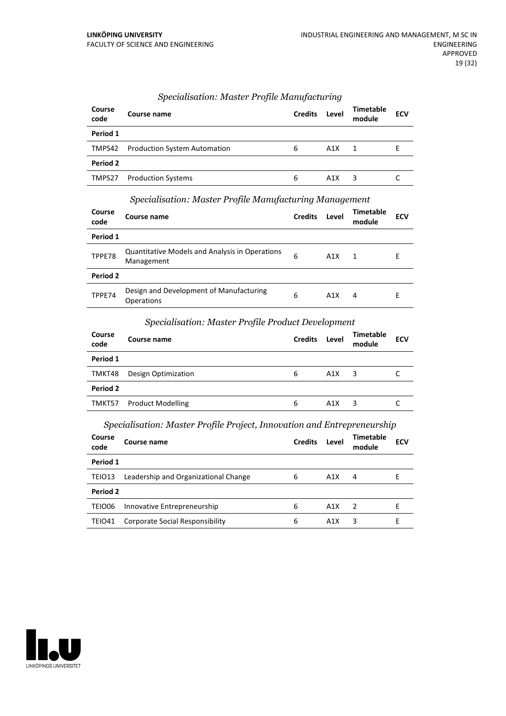| Course<br>code | Course name                         | <b>Credits</b> | Level            | <b>Timetable</b><br>module | <b>ECV</b> |
|----------------|-------------------------------------|----------------|------------------|----------------------------|------------|
| Period 1       |                                     |                |                  |                            |            |
| TMPS42         | <b>Production System Automation</b> | 6              | A1X              | $\overline{1}$             |            |
| Period 2       |                                     |                |                  |                            |            |
| TMPS27         | <b>Production Systems</b>           | 6              | A <sub>1</sub> X | 3                          |            |

#### *Specialisation: Master Profile Manufacturing*

#### *Specialisation: Master Profile Manufacturing Management*

| Course<br>code | Course name                                                  | <b>Credits</b> | Level | <b>Timetable</b><br>module | <b>ECV</b> |
|----------------|--------------------------------------------------------------|----------------|-------|----------------------------|------------|
| Period 1       |                                                              |                |       |                            |            |
| TPPE78         | Quantitative Models and Analysis in Operations<br>Management | 6              | A1X   | $\overline{1}$             | F          |
| Period 2       |                                                              |                |       |                            |            |
| TPPE74         | Design and Development of Manufacturing<br><b>Operations</b> | 6              | A1X   | 4                          | F          |

#### *Specialisation: Master Profile Product Development*

| Course<br>code | Course name              | <b>Credits</b> | Level | <b>Timetable</b><br>module | <b>ECV</b> |
|----------------|--------------------------|----------------|-------|----------------------------|------------|
| Period 1       |                          |                |       |                            |            |
| TMKT48         | Design Optimization      | 6              | A1X   | 3                          |            |
| Period 2       |                          |                |       |                            |            |
| TMKT57         | <b>Product Modelling</b> | 6              | A1X   | 3                          |            |
|                |                          |                |       |                            |            |

# *Specialisation: Master Profile Project, Innovation and Entrepreneurship*

| Course<br>code | Course name                          | <b>Credits</b> | Level | Timetable<br>module      | <b>ECV</b> |
|----------------|--------------------------------------|----------------|-------|--------------------------|------------|
| Period 1       |                                      |                |       |                          |            |
| TEIO13         | Leadership and Organizational Change | 6              | A1X   | 4                        | F          |
| Period 2       |                                      |                |       |                          |            |
| TEIO06         | Innovative Entrepreneurship          | 6              | A1X   | $\overline{\phantom{a}}$ | F          |
| <b>TEIO41</b>  | Corporate Social Responsibility      | 6              | A1X   | 3                        |            |

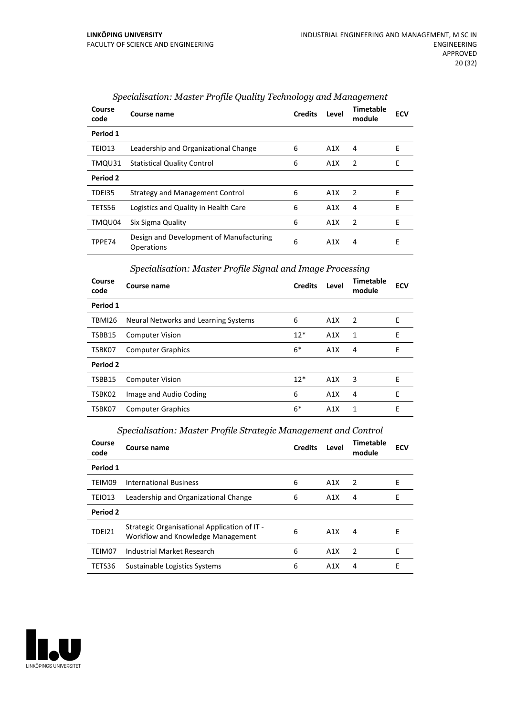| Course<br>code | Course name                                           | <b>Credits</b> | Level | Timetable<br>module | <b>ECV</b> |
|----------------|-------------------------------------------------------|----------------|-------|---------------------|------------|
| Period 1       |                                                       |                |       |                     |            |
| TEIO13         | Leadership and Organizational Change                  | 6              | A1X   | 4                   | Е          |
| TMQU31         | <b>Statistical Quality Control</b>                    | 6              | A1X   | 2                   | E          |
| Period 2       |                                                       |                |       |                     |            |
| TDEI35         | Strategy and Management Control                       | 6              | A1X   | $\mathcal{P}$       | F          |
| TETS56         | Logistics and Quality in Health Care                  | 6              | A1X   | 4                   | E          |
| TMQU04         | Six Sigma Quality                                     | 6              | A1X   | 2                   | E          |
| TPPE74         | Design and Development of Manufacturing<br>Operations | 6              | A1X   | 4                   | E          |

# *Specialisation: Master Profile Quality Technology and Management*

# *Specialisation: Master Profile Signal and Image Processing*

| Course<br>code | Course name                          | <b>Credits</b> | Level | Timetable<br>module | <b>ECV</b> |
|----------------|--------------------------------------|----------------|-------|---------------------|------------|
| Period 1       |                                      |                |       |                     |            |
| TBMI26         | Neural Networks and Learning Systems | 6              | A1X   | - 2                 | Ε          |
| TSBB15         | <b>Computer Vision</b>               | $12*$          | A1X   | 1                   | E          |
| TSBK07         | <b>Computer Graphics</b>             | $6*$           | A1X   | 4                   | E          |
| Period 2       |                                      |                |       |                     |            |
| TSBB15         | <b>Computer Vision</b>               | $12*$          | A1X   | 3                   | E          |
| TSBK02         | Image and Audio Coding               | 6              | A1X   | 4                   | F          |
| TSBK07         | <b>Computer Graphics</b>             | $6*$           | A1X   | 1                   | E          |

# *Specialisation: Master Profile Strategic Management and Control*

| Course<br>code | Course name                                                                       | <b>Credits</b> | Level | Timetable<br>module | <b>ECV</b> |
|----------------|-----------------------------------------------------------------------------------|----------------|-------|---------------------|------------|
| Period 1       |                                                                                   |                |       |                     |            |
| TEIM09         | <b>International Business</b>                                                     | 6              | A1X   | $\overline{2}$      | Е          |
| TEIO13         | Leadership and Organizational Change                                              | 6              | A1X   | 4                   | F          |
| Period 2       |                                                                                   |                |       |                     |            |
| <b>TDEI21</b>  | Strategic Organisational Application of IT -<br>Workflow and Knowledge Management | 6              | A1X   | 4                   | F          |
| TEIM07         | Industrial Market Research                                                        | 6              | A1X   | $\overline{2}$      | F          |
| TETS36         | Sustainable Logistics Systems                                                     | 6              | A1X   | 4                   | F          |
|                |                                                                                   |                |       |                     |            |

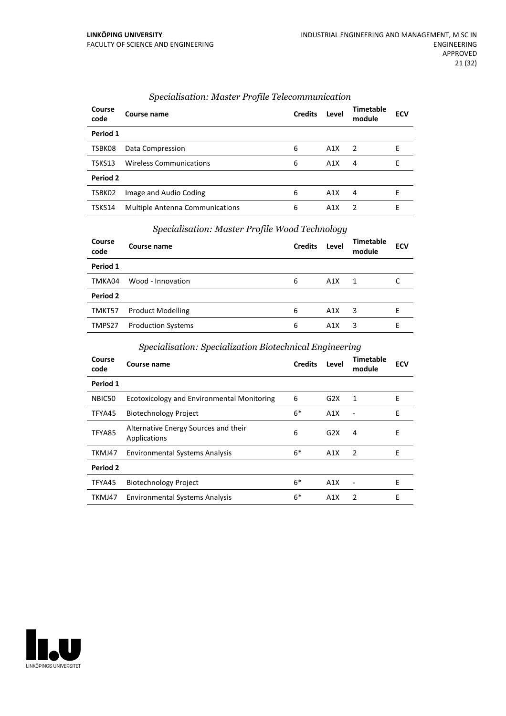| Course<br>code | Course name                            | <b>Credits</b> | Level | <b>Timetable</b><br>module | <b>ECV</b> |
|----------------|----------------------------------------|----------------|-------|----------------------------|------------|
| Period 1       |                                        |                |       |                            |            |
| TSBK08         | Data Compression                       | 6              | A1X   | 2                          | F          |
| TSKS13         | <b>Wireless Communications</b>         | 6              | A1X   | 4                          | F          |
| Period 2       |                                        |                |       |                            |            |
| TSBK02         | Image and Audio Coding                 | 6              | A1X   | 4                          | F          |
| TSKS14         | <b>Multiple Antenna Communications</b> | 6              | A1X   | $\mathcal{P}$              | F          |

# *Specialisation: Master Profile Telecommunication*

# *Specialisation: Master Profile Wood Technology*

| Course<br>code | Course name               | <b>Credits</b> | Level | Timetable<br>module | <b>ECV</b> |
|----------------|---------------------------|----------------|-------|---------------------|------------|
| Period 1       |                           |                |       |                     |            |
| TMKA04         | Wood - Innovation         | 6              | A1X   | -1                  |            |
| Period 2       |                           |                |       |                     |            |
| TMKT57         | <b>Product Modelling</b>  | 6              | A1X   | 3                   |            |
| TMPS27         | <b>Production Systems</b> | 6              | A1X   | 3                   | F          |

# *Specialisation: Specialization Biotechnical Engineering*

| Course<br>code | <b>Course name</b>                                   | <b>Credits</b> | Level | Timetable<br>module      | <b>ECV</b> |
|----------------|------------------------------------------------------|----------------|-------|--------------------------|------------|
| Period 1       |                                                      |                |       |                          |            |
| NBIC50         | <b>Ecotoxicology and Environmental Monitoring</b>    | 6              | G2X   | 1                        | E          |
| TFYA45         | <b>Biotechnology Project</b>                         | $6*$           | A1X   | $\overline{\phantom{a}}$ | E          |
| TFYA85         | Alternative Energy Sources and their<br>Applications | 6              | G2X   | 4                        | E          |
| TKMJ47         | <b>Environmental Systems Analysis</b>                | $6*$           | A1X   | 2                        | E          |
| Period 2       |                                                      |                |       |                          |            |
| TFYA45         | <b>Biotechnology Project</b>                         | $6*$           | A1X   | $\blacksquare$           | E          |
| TKMJ47         | <b>Environmental Systems Analysis</b>                | $6*$           | A1X   | 2                        | E          |

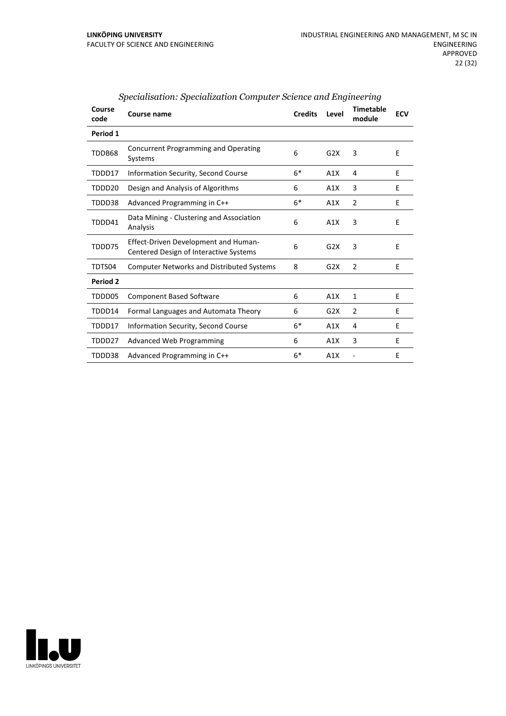| Course<br>code | Course name                                                                           | <b>Credits</b> | Level | <b>Timetable</b><br>module | <b>ECV</b> |
|----------------|---------------------------------------------------------------------------------------|----------------|-------|----------------------------|------------|
| Period 1       |                                                                                       |                |       |                            |            |
| TDDB68         | <b>Concurrent Programming and Operating</b><br>Systems                                | 6              | G2X   | 3                          | E          |
| TDDD17         | Information Security, Second Course                                                   | $6*$           | A1X   | 4                          | E          |
| TDDD20         | Design and Analysis of Algorithms                                                     | 6              | A1X   | 3                          | E          |
| TDDD38         | Advanced Programming in C++                                                           | $6*$           | A1X   | $\overline{2}$             | E          |
| TDDD41         | Data Mining - Clustering and Association<br>Analysis                                  | 6              | A1X   | 3                          | E          |
| TDDD75         | <b>Effect-Driven Development and Human-</b><br>Centered Design of Interactive Systems | 6              | G2X   | 3                          | E          |
| TDTS04         | <b>Computer Networks and Distributed Systems</b>                                      | 8              | G2X   | $\mathcal{P}$              | F          |
| Period 2       |                                                                                       |                |       |                            |            |
| TDDD05         | <b>Component Based Software</b>                                                       | 6              | A1X   | 1                          | E          |
| TDDD14         | Formal Languages and Automata Theory                                                  | 6              | G2X   | $\overline{2}$             | Е          |
| TDDD17         | Information Security, Second Course                                                   | $6*$           | A1X   | 4                          | E          |
| TDDD27         | <b>Advanced Web Programming</b>                                                       | 6              | A1X   | 3                          | E          |
| TDDD38         | Advanced Programming in C++                                                           | $6*$           | A1X   |                            | E          |

# *Specialisation: Specialization Computer Science and Engineering*

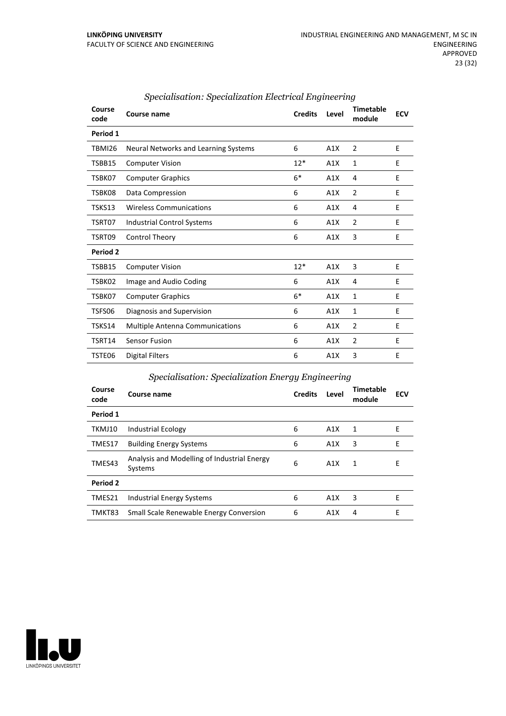| Course<br>code | <b>Course name</b>                     | <b>Credits</b> | Level | <b>Timetable</b><br>module | <b>ECV</b> |
|----------------|----------------------------------------|----------------|-------|----------------------------|------------|
| Period 1       |                                        |                |       |                            |            |
| <b>TBMI26</b>  | Neural Networks and Learning Systems   | 6              | A1X   | 2                          | E          |
| TSBB15         | <b>Computer Vision</b>                 | $12*$          | A1X   | 1                          | E          |
| TSBK07         | <b>Computer Graphics</b>               | $6*$           | A1X   | 4                          | E          |
| TSBK08         | Data Compression                       | 6              | A1X   | $\overline{2}$             | E          |
| TSKS13         | <b>Wireless Communications</b>         | 6              | A1X   | 4                          | E          |
| TSRT07         | Industrial Control Systems             | 6              | A1X   | $\overline{2}$             | E          |
| TSRT09         | Control Theory                         | 6              | A1X   | 3                          | E          |
| Period 2       |                                        |                |       |                            |            |
| <b>TSBB15</b>  | <b>Computer Vision</b>                 | $12*$          | A1X   | 3                          | E          |
| TSBK02         | Image and Audio Coding                 | 6              | A1X   | 4                          | E          |
| TSBK07         | <b>Computer Graphics</b>               | $6*$           | A1X   | 1                          | E          |
| TSFS06         | Diagnosis and Supervision              | 6              | A1X   | $\mathbf{1}$               | E          |
| TSKS14         | <b>Multiple Antenna Communications</b> | 6              | A1X   | $\overline{2}$             | E          |
| TSRT14         | <b>Sensor Fusion</b>                   | 6              | A1X   | $\overline{2}$             | E          |
| TSTE06         | <b>Digital Filters</b>                 | 6              | A1X   | 3                          | E          |

# *Specialisation: Specialization Electrical Engineering*

# *Specialisation: Specialization Energy Engineering*

| Course<br>code | Course name                                            | <b>Credits</b> | Level | <b>Timetable</b><br>module | <b>ECV</b> |
|----------------|--------------------------------------------------------|----------------|-------|----------------------------|------------|
| Period 1       |                                                        |                |       |                            |            |
| TKMJ10         | <b>Industrial Ecology</b>                              | 6              | A1X   | 1                          | Е          |
| TMES17         | <b>Building Energy Systems</b>                         | 6              | A1X   | 3                          | Е          |
| TMES43         | Analysis and Modelling of Industrial Energy<br>Systems | 6              | A1X   | 1                          | Е          |
| Period 2       |                                                        |                |       |                            |            |
| TMES21         | Industrial Energy Systems                              | 6              | A1X   | 3                          | Е          |
| TMKT83         | <b>Small Scale Renewable Energy Conversion</b>         | 6              | A1X   | 4                          | Е          |

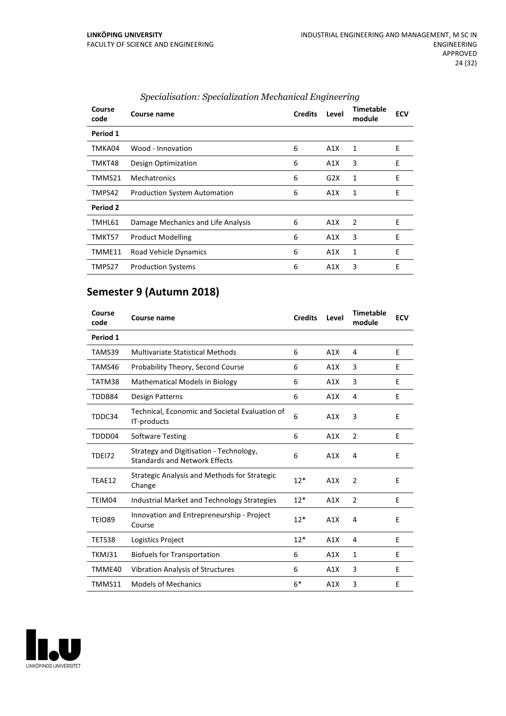| Course<br>code | Course name                         | <b>Credits</b> | Level | <b>Timetable</b><br>module | <b>ECV</b> |
|----------------|-------------------------------------|----------------|-------|----------------------------|------------|
| Period 1       |                                     |                |       |                            |            |
| TMKA04         | Wood - Innovation                   | 6              | A1X   | 1                          | E          |
| TMKT48         | Design Optimization                 | 6              | A1X   | 3                          | E          |
| TMMS21         | Mechatronics                        | 6              | G2X   | 1                          | E          |
| TMPS42         | <b>Production System Automation</b> | 6              | A1X   | 1                          | E          |
| Period 2       |                                     |                |       |                            |            |
| TMHL61         | Damage Mechanics and Life Analysis  | 6              | A1X   | 2                          | E          |
| TMKT57         | <b>Product Modelling</b>            | 6              | A1X   | 3                          | E          |
| TMME11         | Road Vehicle Dynamics               | 6              | A1X   | 1                          | E          |
| TMPS27         | <b>Production Systems</b>           | 6              | A1X   | 3                          | E          |

# *Specialisation: Specialization Mechanical Engineering*

# **Semester 9 (Autumn 2018)**

| Course<br>code | Course name                                                                     | <b>Credits</b> | Level | <b>Timetable</b><br>module | <b>ECV</b> |
|----------------|---------------------------------------------------------------------------------|----------------|-------|----------------------------|------------|
| Period 1       |                                                                                 |                |       |                            |            |
| TAMS39         | <b>Multivariate Statistical Methods</b>                                         | 6              | A1X   | 4                          | E          |
| TAMS46         | Probability Theory, Second Course                                               | 6              | A1X   | 3                          | E          |
| TATM38         | <b>Mathematical Models in Biology</b>                                           | 6              | A1X   | 3                          | E          |
| TDDB84         | Design Patterns                                                                 | 6              | A1X   | 4                          | E          |
| TDDC34         | Technical, Economic and Societal Evaluation of<br>IT-products                   | 6              | A1X   | 3                          | E          |
| TDDD04         | <b>Software Testing</b>                                                         | 6              | A1X   | 2                          | E          |
| <b>TDE172</b>  | Strategy and Digitisation - Technology,<br><b>Standards and Network Effects</b> | 6              | A1X   | 4                          | E          |
| TEAE12         | <b>Strategic Analysis and Methods for Strategic</b><br>Change                   | $12*$          | A1X   | $\overline{2}$             | E          |
| TEIM04         | Industrial Market and Technology Strategies                                     | $12*$          | A1X   | $\overline{2}$             | E          |
| <b>TEIO89</b>  | Innovation and Entrepreneurship - Project<br>Course                             | $12*$          | A1X   | 4                          | E          |
| TETS38         | Logistics Project                                                               | $12*$          | A1X   | 4                          | E          |
| TKMJ31         | <b>Biofuels for Transportation</b>                                              | 6              | A1X   | 1                          | E          |
| TMME40         | <b>Vibration Analysis of Structures</b>                                         | 6              | A1X   | 3                          | E          |
| TMMS11         | <b>Models of Mechanics</b>                                                      | $6*$           | A1X   | 3                          | Е          |

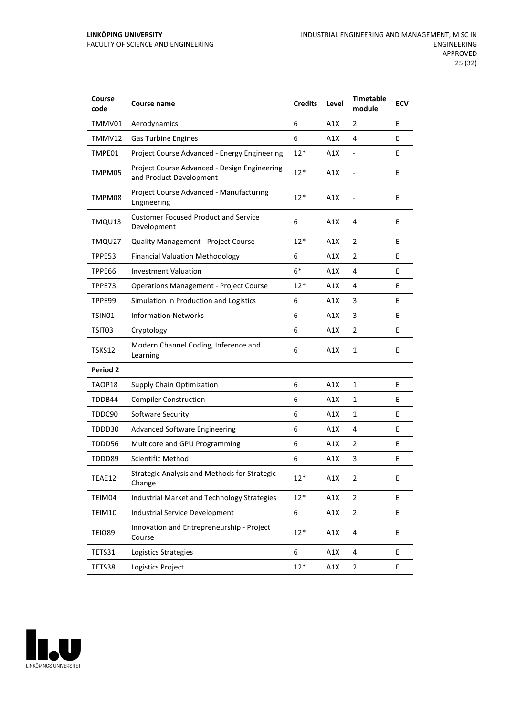| Course<br>code  | Course name                                                             | <b>Credits</b> | Level | <b>Timetable</b><br>module | <b>ECV</b> |
|-----------------|-------------------------------------------------------------------------|----------------|-------|----------------------------|------------|
| TMMV01          | Aerodynamics                                                            | 6              | A1X   | 2                          | E          |
| TMMV12          | <b>Gas Turbine Engines</b>                                              | 6              | A1X   | 4                          | E          |
| TMPE01          | Project Course Advanced - Energy Engineering                            | $12*$          | A1X   | -                          | E          |
| TMPM05          | Project Course Advanced - Design Engineering<br>and Product Development | $12*$          | A1X   |                            | E          |
| TMPM08          | Project Course Advanced - Manufacturing<br>Engineering                  | $12*$          | A1X   |                            | E          |
| TMQU13          | <b>Customer Focused Product and Service</b><br>Development              | 6              | A1X   | 4                          | E          |
| TMQU27          | <b>Quality Management - Project Course</b>                              | 12*            | A1X   | $\overline{2}$             | E          |
| TPPE53          | <b>Financial Valuation Methodology</b>                                  | 6              | A1X   | 2                          | E          |
| TPPE66          | <b>Investment Valuation</b>                                             | $6*$           | A1X   | 4                          | E          |
| TPPE73          | <b>Operations Management - Project Course</b>                           | $12*$          | A1X   | 4                          | E          |
| TPPE99          | Simulation in Production and Logistics                                  | 6              | A1X   | 3                          | E          |
| TSIN01          | <b>Information Networks</b>                                             | 6              | A1X   | 3                          | E          |
| TSIT03          | Cryptology                                                              | 6              | A1X   | 2                          | E          |
| <b>TSKS12</b>   | Modern Channel Coding, Inference and<br>Learning                        | 6              | A1X   | $\mathbf{1}$               | E          |
| <b>Period 2</b> |                                                                         |                |       |                            |            |
| TAOP18          | <b>Supply Chain Optimization</b>                                        | 6              | A1X   | $\mathbf{1}$               | E          |
| TDDB44          | <b>Compiler Construction</b>                                            | 6              | A1X   | 1                          | E          |
| TDDC90          | Software Security                                                       | 6              | A1X   | $\mathbf{1}$               | E          |
| TDDD30          | <b>Advanced Software Engineering</b>                                    | 6              | A1X   | 4                          | E          |
| TDDD56          | Multicore and GPU Programming                                           | 6              | A1X   | 2                          | E          |
| TDDD89          | <b>Scientific Method</b>                                                | 6              | A1X   | 3                          | E          |
| TEAE12          | <b>Strategic Analysis and Methods for Strategic</b><br>Change           | $12*$          | A1X   | 2                          | Е          |
| TEIM04          | Industrial Market and Technology Strategies                             | $12*$          | A1X   | $\overline{2}$             | E          |
| TEIM10          | <b>Industrial Service Development</b>                                   | 6              | A1X   | $\overline{2}$             | E          |
| <b>TEIO89</b>   | Innovation and Entrepreneurship - Project<br>Course                     | $12*$          | A1X   | 4                          | E          |
| TETS31          | Logistics Strategies                                                    | 6              | A1X   | 4                          | E          |
| TETS38          | Logistics Project                                                       | $12*$          | A1X   | 2                          | Ε          |

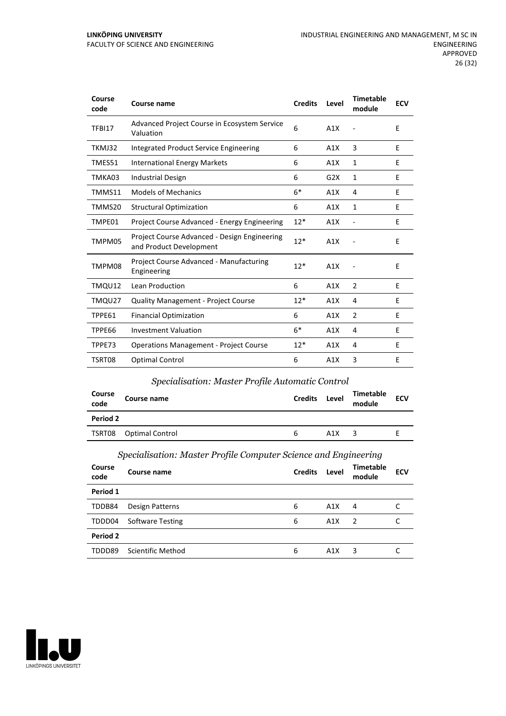#### **LINKÖPING UNIVERSITY** FACULTY OF SCIENCE AND ENGINEERING

| Course<br>code | Course name                                                             | <b>Credits</b> | Level | <b>Timetable</b><br>module | <b>ECV</b> |
|----------------|-------------------------------------------------------------------------|----------------|-------|----------------------------|------------|
| TFBI17         | Advanced Project Course in Ecosystem Service<br>Valuation               | 6              | A1X   |                            | E          |
| TKMJ32         | Integrated Product Service Engineering                                  | 6              | A1X   | 3                          | E          |
| TMES51         | <b>International Energy Markets</b>                                     | 6              | A1X   | $\mathbf{1}$               | F          |
| TMKA03         | <b>Industrial Design</b>                                                | 6              | G2X   | 1                          | E          |
| TMMS11         | <b>Models of Mechanics</b>                                              | $6*$           | A1X   | 4                          | E          |
| TMMS20         | <b>Structural Optimization</b>                                          | 6              | A1X   | $\mathbf{1}$               | E          |
| TMPE01         | Project Course Advanced - Energy Engineering                            | $12*$          | A1X   | $\overline{\phantom{a}}$   | E          |
| TMPM05         | Project Course Advanced - Design Engineering<br>and Product Development | $12*$          | A1X   |                            | E          |
| TMPM08         | Project Course Advanced - Manufacturing<br>Engineering                  | $12*$          | A1X   |                            | E          |
| TMQU12         | Lean Production                                                         | 6              | A1X   | $\overline{2}$             | F          |
| TMQU27         | <b>Quality Management - Project Course</b>                              | $12*$          | A1X   | 4                          | E          |
| TPPE61         | <b>Financial Optimization</b>                                           | 6              | A1X   | $\overline{2}$             | E          |
| TPPE66         | <b>Investment Valuation</b>                                             | $6*$           | A1X   | 4                          | E          |
| TPPE73         | <b>Operations Management - Project Course</b>                           | $12*$          | A1X   | 4                          | E          |
| TSRT08         | <b>Optimal Control</b>                                                  | 6              | A1X   | 3                          | Е          |

# *Specialisation: Master Profile Automatic Control*

| Course<br>code | Course name     | <b>Credits</b> | Level | <b>Timetable</b><br>module | <b>ECV</b> |
|----------------|-----------------|----------------|-------|----------------------------|------------|
| Period 2       |                 |                |       |                            |            |
| TSRT08         | Optimal Control | 6              | A1X   | ว                          |            |

# *Specialisation: Master Profile Computer Science and Engineering*

| Course<br>code | Course name             | <b>Credits</b> | Level | Timetable<br>module | <b>ECV</b> |
|----------------|-------------------------|----------------|-------|---------------------|------------|
| Period 1       |                         |                |       |                     |            |
| TDDB84         | Design Patterns         | 6              | A1X   | 4                   |            |
| TDDD04         | <b>Software Testing</b> | 6              | A1X   | -2                  | C          |
| Period 2       |                         |                |       |                     |            |
| TDDD89         | Scientific Method       | 6              | A1X   | 3                   |            |
|                |                         |                |       |                     |            |

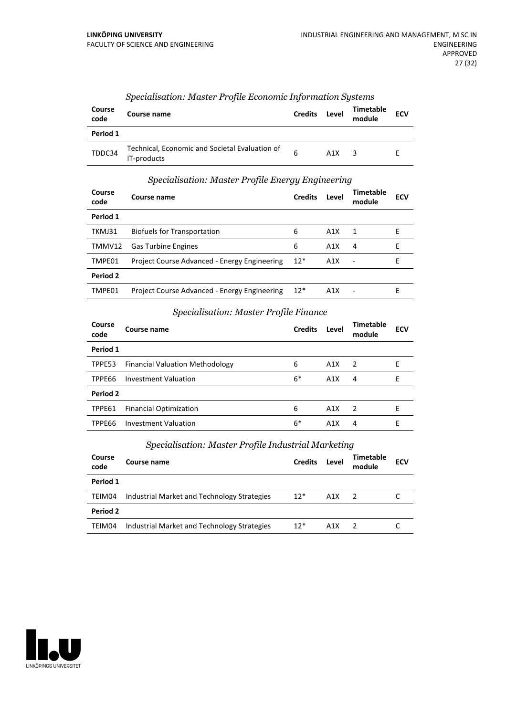| Course<br>code | Course name                                                   | <b>Credits</b> | Level | Timetable<br>module | <b>ECV</b> |
|----------------|---------------------------------------------------------------|----------------|-------|---------------------|------------|
| Period 1       |                                                               |                |       |                     |            |
| TDDC34         | Technical, Economic and Societal Evaluation of<br>IT-products | 6              | A1X   | ર                   |            |

#### *Specialisation: Master Profile Economic Information Systems*

# *Specialisation: Master Profile Energy Engineering*

| Course<br>code | Course name                                  | <b>Credits</b> | Level | <b>Timetable</b><br>module | <b>ECV</b> |
|----------------|----------------------------------------------|----------------|-------|----------------------------|------------|
| Period 1       |                                              |                |       |                            |            |
| TKMJ31         | <b>Biofuels for Transportation</b>           | 6              | A1X   | 1                          | F          |
| TMMV12         | <b>Gas Turbine Engines</b>                   | 6              | A1X   | 4                          | F          |
| TMPE01         | Project Course Advanced - Energy Engineering | $12*$          | A1X   |                            | F          |
| Period 2       |                                              |                |       |                            |            |
| TMPE01         | Project Course Advanced - Energy Engineering | $12*$          | A1X   |                            | Е          |

#### *Specialisation: Master Profile Finance*

| Course<br>code | Course name                            | <b>Credits</b> | Level | <b>Timetable</b><br>module | <b>ECV</b> |
|----------------|----------------------------------------|----------------|-------|----------------------------|------------|
| Period 1       |                                        |                |       |                            |            |
| TPPE53         | <b>Financial Valuation Methodology</b> | 6              | A1X   | 2                          | Е          |
| TPPE66         | <b>Investment Valuation</b>            | $6*$           | A1X   | 4                          | Е          |
| Period 2       |                                        |                |       |                            |            |
| TPPE61         | <b>Financial Optimization</b>          | 6              | A1X   | $\overline{2}$             | F          |
| TPPE66         | Investment Valuation                   | $6*$           | A1X   | 4                          | F          |
|                |                                        |                |       |                            |            |

# *Specialisation: Master Profile Industrial Marketing*

| Course<br>code | Course name                                 | <b>Credits</b> | Level | Timetable<br>module | <b>ECV</b> |
|----------------|---------------------------------------------|----------------|-------|---------------------|------------|
| Period 1       |                                             |                |       |                     |            |
| TEIM04         | Industrial Market and Technology Strategies | $12*$          | A1X   | $\overline{2}$      |            |
| Period 2       |                                             |                |       |                     |            |
| TEIM04         | Industrial Market and Technology Strategies | $12*$          | A1X   | - 2                 |            |

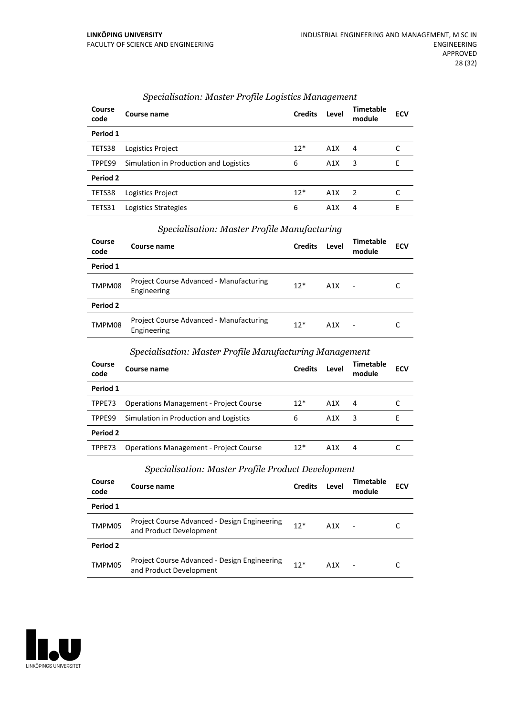| Course<br>code | Course name                            | <b>Credits</b> | Level | <b>Timetable</b><br>module | <b>ECV</b> |
|----------------|----------------------------------------|----------------|-------|----------------------------|------------|
| Period 1       |                                        |                |       |                            |            |
| TETS38         | Logistics Project                      | $12*$          | A1X   | 4                          |            |
| TPPE99         | Simulation in Production and Logistics | 6              | A1X   | 3                          | F          |
| Period 2       |                                        |                |       |                            |            |
| TETS38         | Logistics Project                      | $12*$          | A1X   | $\mathcal{L}$              |            |
| TETS31         | Logistics Strategies                   | 6              | A1X   | 4                          | F          |

# *Specialisation: Master Profile Logistics Management*

| Specialisation: Master Profile Manufacturing |                                                        |                |       |                            |            |  |  |
|----------------------------------------------|--------------------------------------------------------|----------------|-------|----------------------------|------------|--|--|
| Course<br>code                               | Course name                                            | <b>Credits</b> | Level | <b>Timetable</b><br>module | <b>ECV</b> |  |  |
| Period 1                                     |                                                        |                |       |                            |            |  |  |
| TMPM08                                       | Project Course Advanced - Manufacturing<br>Engineering | $12*$          | A1X   |                            |            |  |  |
| Period 2                                     |                                                        |                |       |                            |            |  |  |
| TMPM08                                       | Project Course Advanced - Manufacturing<br>Engineering | $12*$          | A1X   | $\overline{\phantom{a}}$   |            |  |  |

# *Specialisation: Master Profile Manufacturing*

# *Specialisation: Master Profile Manufacturing Management*

| Course<br>code | Course name                                   | <b>Credits</b> | Level | Timetable<br>module | <b>ECV</b> |
|----------------|-----------------------------------------------|----------------|-------|---------------------|------------|
| Period 1       |                                               |                |       |                     |            |
| TPPE73         | <b>Operations Management - Project Course</b> | $12*$          | A1X   | 4                   |            |
| TPPE99         | Simulation in Production and Logistics        | 6              | A1X   | 3                   |            |
| Period 2       |                                               |                |       |                     |            |
| TPPE73         | <b>Operations Management - Project Course</b> | $12*$          | A1X   | 4                   |            |

#### *Specialisation: Master Profile Product Development*

| Course<br>code | Course name                                                             | <b>Credits</b> | Level | Timetable<br>module      | <b>ECV</b> |
|----------------|-------------------------------------------------------------------------|----------------|-------|--------------------------|------------|
| Period 1       |                                                                         |                |       |                          |            |
| TMPM05         | Project Course Advanced - Design Engineering<br>and Product Development | $12*$          | A1X   | $\blacksquare$           |            |
| Period 2       |                                                                         |                |       |                          |            |
| TMPM05         | Project Course Advanced - Design Engineering<br>and Product Development | $12*$          | A1X   | $\overline{\phantom{a}}$ |            |

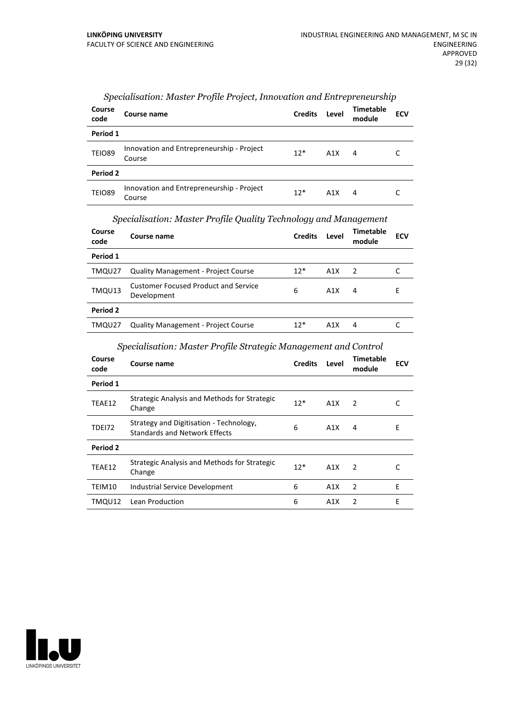| Course<br>code | Course name                                         | <b>Credits</b> | Level            | <b>Timetable</b><br>module | <b>ECV</b> |
|----------------|-----------------------------------------------------|----------------|------------------|----------------------------|------------|
| Period 1       |                                                     |                |                  |                            |            |
| <b>TEIO89</b>  | Innovation and Entrepreneurship - Project<br>Course | $12*$          | A1X              | 4                          |            |
| Period 2       |                                                     |                |                  |                            |            |
| <b>TEIO89</b>  | Innovation and Entrepreneurship - Project<br>Course | $12*$          | A <sub>1</sub> X | 4                          |            |

# *Specialisation: Master Profile Project, Innovation and Entrepreneurship*

# *Specialisation: Master Profile Quality Technology and Management*

| Course<br>code | Course name                                                | <b>Credits</b> | Level | <b>Timetable</b><br>module | <b>ECV</b> |
|----------------|------------------------------------------------------------|----------------|-------|----------------------------|------------|
| Period 1       |                                                            |                |       |                            |            |
| TMQU27         | <b>Quality Management - Project Course</b>                 | $12*$          | A1X   | $\overline{\phantom{a}}$   |            |
| TMQU13         | <b>Customer Focused Product and Service</b><br>Development | 6              | A1X   | 4                          | E          |
| Period 2       |                                                            |                |       |                            |            |
| TMQU27         | <b>Quality Management - Project Course</b>                 | $12*$          | A1X   | 4                          |            |

# *Specialisation: Master Profile Strategic Management and Control*

| Course<br>code | Course name                                                                     | <b>Credits</b> | Level | Timetable<br>module | <b>ECV</b> |
|----------------|---------------------------------------------------------------------------------|----------------|-------|---------------------|------------|
| Period 1       |                                                                                 |                |       |                     |            |
| TEAE12         | Strategic Analysis and Methods for Strategic<br>Change                          | $12*$          | A1X   | $\overline{2}$      | C          |
| <b>TDE172</b>  | Strategy and Digitisation - Technology,<br><b>Standards and Network Effects</b> | 6              | A1X   | 4                   | Е          |
| Period 2       |                                                                                 |                |       |                     |            |
| TEAE12         | Strategic Analysis and Methods for Strategic<br>Change                          | $12*$          | A1X   | $\mathcal{P}$       |            |
| TEIM10         | Industrial Service Development                                                  | 6              | A1X   | $\mathcal{P}$       | F          |
| TMQU12         | Lean Production                                                                 | 6              | A1X   | $\mathcal{P}$       | E          |

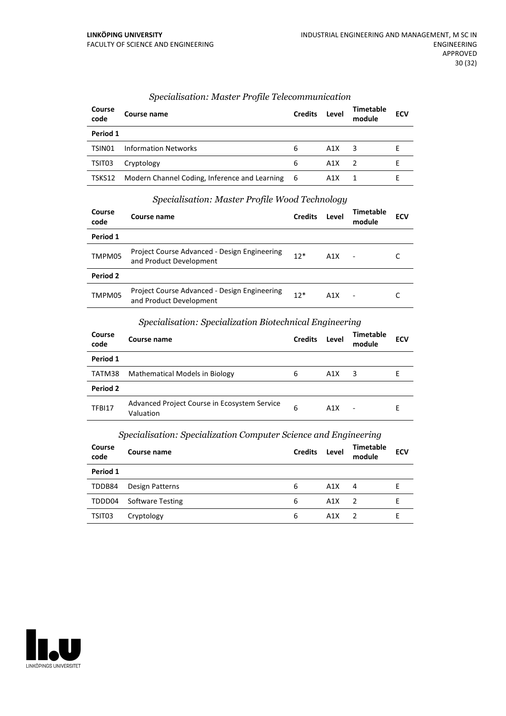| Course<br>code | Course name                                     | <b>Credits</b> | Level | Timetable<br>module | <b>ECV</b> |  |
|----------------|-------------------------------------------------|----------------|-------|---------------------|------------|--|
| Period 1       |                                                 |                |       |                     |            |  |
| TSIN01         | <b>Information Networks</b>                     | 6              | A1X   | 3                   |            |  |
| TSIT03         | Cryptology                                      | 6              | A1X   |                     |            |  |
| TSKS12         | Modern Channel Coding, Inference and Learning 6 |                | A1X   |                     |            |  |

# *Specialisation: Master Profile Telecommunication*

#### *Specialisation: Master Profile Wood Technology*

| Course<br>code | Course name                                                             | <b>Credits</b> | Level | Timetable<br>module      | <b>ECV</b> |
|----------------|-------------------------------------------------------------------------|----------------|-------|--------------------------|------------|
| Period 1       |                                                                         |                |       |                          |            |
| TMPM05         | Project Course Advanced - Design Engineering<br>and Product Development | $12*$          | A1X   |                          |            |
| Period 2       |                                                                         |                |       |                          |            |
| TMPM05         | Project Course Advanced - Design Engineering<br>and Product Development | $12*$          | A1X   | $\overline{\phantom{a}}$ |            |

# *Specialisation: Specialization Biotechnical Engineering*

| Course<br>code | Course name                                               | <b>Credits</b> | Level | <b>Timetable</b><br>module | <b>ECV</b> |
|----------------|-----------------------------------------------------------|----------------|-------|----------------------------|------------|
| Period 1       |                                                           |                |       |                            |            |
| TATM38         | Mathematical Models in Biology                            | 6              | A1X   | 3                          | E          |
| Period 2       |                                                           |                |       |                            |            |
| TFBI17         | Advanced Project Course in Ecosystem Service<br>Valuation | 6              | A1X   | ٠                          | E          |

# *Specialisation: Specialization Computer Science and Engineering*

| Course<br>code | Course name             | <b>Credits</b> | Level | <b>Timetable</b><br>module | <b>ECV</b> |
|----------------|-------------------------|----------------|-------|----------------------------|------------|
| Period 1       |                         |                |       |                            |            |
| TDDB84         | Design Patterns         | 6              | A1X   | 4                          |            |
| TDDD04         | <b>Software Testing</b> | 6              | A1X   | $\mathcal{L}$              |            |
| TSIT03         | Cryptology              | 6              | A1X   | 2                          |            |

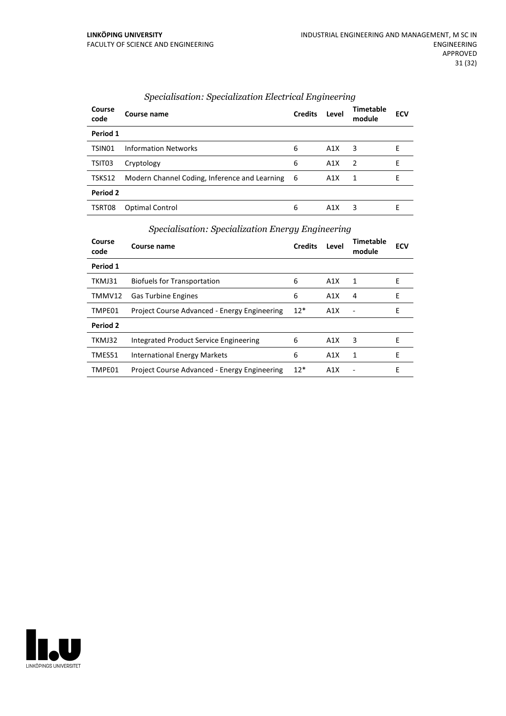| Course<br>code | Course name                                     | <b>Credits</b> | Level | Timetable<br>module | <b>ECV</b> |  |
|----------------|-------------------------------------------------|----------------|-------|---------------------|------------|--|
| Period 1       |                                                 |                |       |                     |            |  |
| TSIN01         | <b>Information Networks</b>                     | 6              | A1X   | 3                   | F          |  |
| TSIT03         | Cryptology                                      | 6              | A1X   | $\overline{z}$      | F          |  |
| TSKS12         | Modern Channel Coding, Inference and Learning 6 |                | A1X   | -1                  | F.         |  |
| Period 2       |                                                 |                |       |                     |            |  |
| TSRT08         | Optimal Control                                 | 6              | A1X   | 3                   | F          |  |

# *Specialisation: Specialization Electrical Engineering*

# *Specialisation: Specialization Energy Engineering*

| Course<br>code | <b>Course name</b>                           | <b>Credits</b> | Level | <b>Timetable</b><br>module | <b>ECV</b> |
|----------------|----------------------------------------------|----------------|-------|----------------------------|------------|
| Period 1       |                                              |                |       |                            |            |
| TKMJ31         | Biofuels for Transportation                  | 6              | A1X   | 1                          | Е          |
| TMMV12         | <b>Gas Turbine Engines</b>                   | 6              | A1X   | 4                          | E          |
| TMPE01         | Project Course Advanced - Energy Engineering | $12*$          | A1X   |                            | E          |
| Period 2       |                                              |                |       |                            |            |
| TKMJ32         | Integrated Product Service Engineering       | 6              | A1X   | 3                          | Е          |
| TMES51         | International Energy Markets                 | 6              | A1X   | 1                          | Е          |
| TMPE01         | Project Course Advanced - Energy Engineering | $12*$          | A1X   |                            | Е          |